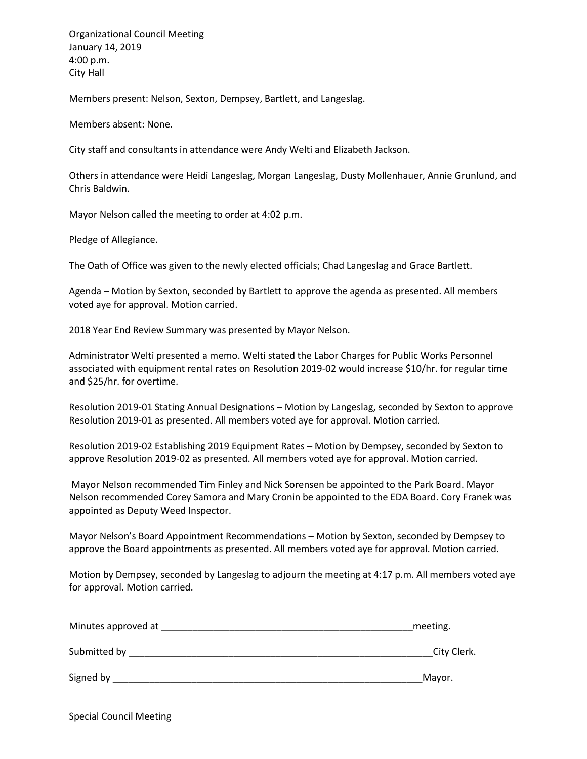Organizational Council Meeting January 14, 2019 4:00 p.m. City Hall

Members present: Nelson, Sexton, Dempsey, Bartlett, and Langeslag.

Members absent: None.

City staff and consultants in attendance were Andy Welti and Elizabeth Jackson.

Others in attendance were Heidi Langeslag, Morgan Langeslag, Dusty Mollenhauer, Annie Grunlund, and Chris Baldwin.

Mayor Nelson called the meeting to order at 4:02 p.m.

Pledge of Allegiance.

The Oath of Office was given to the newly elected officials; Chad Langeslag and Grace Bartlett.

Agenda – Motion by Sexton, seconded by Bartlett to approve the agenda as presented. All members voted aye for approval. Motion carried.

2018 Year End Review Summary was presented by Mayor Nelson.

Administrator Welti presented a memo. Welti stated the Labor Charges for Public Works Personnel associated with equipment rental rates on Resolution 2019-02 would increase \$10/hr. for regular time and \$25/hr. for overtime.

Resolution 2019-01 Stating Annual Designations – Motion by Langeslag, seconded by Sexton to approve Resolution 2019-01 as presented. All members voted aye for approval. Motion carried.

Resolution 2019-02 Establishing 2019 Equipment Rates – Motion by Dempsey, seconded by Sexton to approve Resolution 2019-02 as presented. All members voted aye for approval. Motion carried.

Mayor Nelson recommended Tim Finley and Nick Sorensen be appointed to the Park Board. Mayor Nelson recommended Corey Samora and Mary Cronin be appointed to the EDA Board. Cory Franek was appointed as Deputy Weed Inspector.

Mayor Nelson's Board Appointment Recommendations – Motion by Sexton, seconded by Dempsey to approve the Board appointments as presented. All members voted aye for approval. Motion carried.

Motion by Dempsey, seconded by Langeslag to adjourn the meeting at 4:17 p.m. All members voted aye for approval. Motion carried.

| Minutes approved at | meeting.    |
|---------------------|-------------|
| Submitted by        | City Clerk. |
| Signed by           | Mayor.      |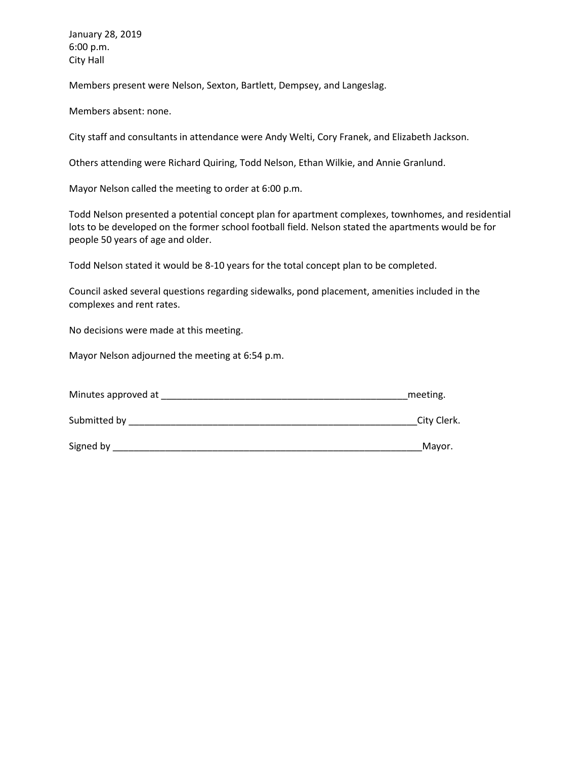January 28, 2019 6:00 p.m. City Hall

Members present were Nelson, Sexton, Bartlett, Dempsey, and Langeslag.

Members absent: none.

City staff and consultants in attendance were Andy Welti, Cory Franek, and Elizabeth Jackson.

Others attending were Richard Quiring, Todd Nelson, Ethan Wilkie, and Annie Granlund.

Mayor Nelson called the meeting to order at 6:00 p.m.

Todd Nelson presented a potential concept plan for apartment complexes, townhomes, and residential lots to be developed on the former school football field. Nelson stated the apartments would be for people 50 years of age and older.

Todd Nelson stated it would be 8-10 years for the total concept plan to be completed.

Council asked several questions regarding sidewalks, pond placement, amenities included in the complexes and rent rates.

No decisions were made at this meeting.

Mayor Nelson adjourned the meeting at 6:54 p.m.

| Minutes approved at | meeting.    |
|---------------------|-------------|
| Submitted by        | City Clerk. |
| Signed by           | Mayor.      |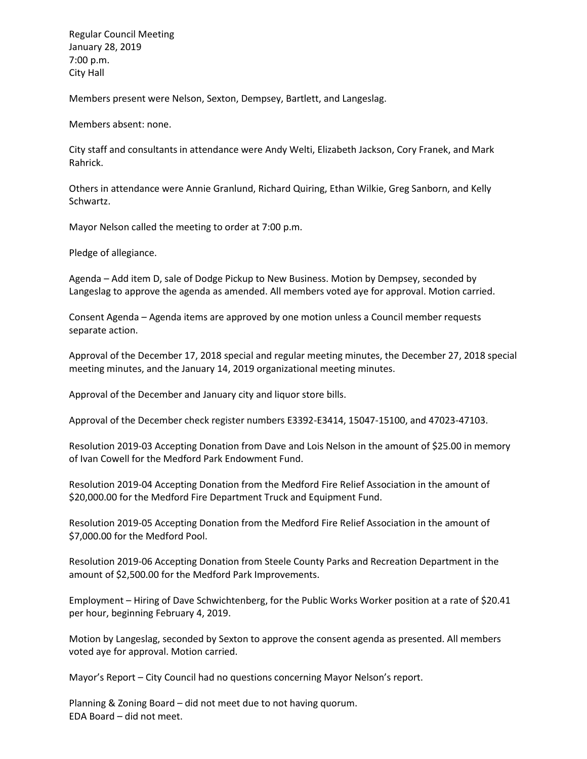Regular Council Meeting January 28, 2019 7:00 p.m. City Hall

Members present were Nelson, Sexton, Dempsey, Bartlett, and Langeslag.

Members absent: none.

City staff and consultants in attendance were Andy Welti, Elizabeth Jackson, Cory Franek, and Mark Rahrick.

Others in attendance were Annie Granlund, Richard Quiring, Ethan Wilkie, Greg Sanborn, and Kelly Schwartz.

Mayor Nelson called the meeting to order at 7:00 p.m.

Pledge of allegiance.

Agenda – Add item D, sale of Dodge Pickup to New Business. Motion by Dempsey, seconded by Langeslag to approve the agenda as amended. All members voted aye for approval. Motion carried.

Consent Agenda – Agenda items are approved by one motion unless a Council member requests separate action.

Approval of the December 17, 2018 special and regular meeting minutes, the December 27, 2018 special meeting minutes, and the January 14, 2019 organizational meeting minutes.

Approval of the December and January city and liquor store bills.

Approval of the December check register numbers E3392-E3414, 15047-15100, and 47023-47103.

Resolution 2019-03 Accepting Donation from Dave and Lois Nelson in the amount of \$25.00 in memory of Ivan Cowell for the Medford Park Endowment Fund.

Resolution 2019-04 Accepting Donation from the Medford Fire Relief Association in the amount of \$20,000.00 for the Medford Fire Department Truck and Equipment Fund.

Resolution 2019-05 Accepting Donation from the Medford Fire Relief Association in the amount of \$7,000.00 for the Medford Pool.

Resolution 2019-06 Accepting Donation from Steele County Parks and Recreation Department in the amount of \$2,500.00 for the Medford Park Improvements.

Employment – Hiring of Dave Schwichtenberg, for the Public Works Worker position at a rate of \$20.41 per hour, beginning February 4, 2019.

Motion by Langeslag, seconded by Sexton to approve the consent agenda as presented. All members voted aye for approval. Motion carried.

Mayor's Report – City Council had no questions concerning Mayor Nelson's report.

Planning & Zoning Board – did not meet due to not having quorum. EDA Board – did not meet.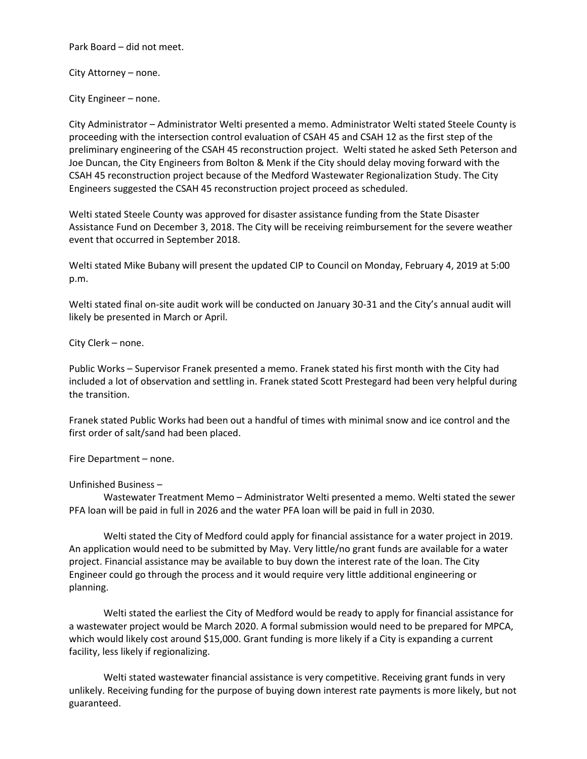Park Board – did not meet.

City Attorney – none.

City Engineer – none.

City Administrator – Administrator Welti presented a memo. Administrator Welti stated Steele County is proceeding with the intersection control evaluation of CSAH 45 and CSAH 12 as the first step of the preliminary engineering of the CSAH 45 reconstruction project. Welti stated he asked Seth Peterson and Joe Duncan, the City Engineers from Bolton & Menk if the City should delay moving forward with the CSAH 45 reconstruction project because of the Medford Wastewater Regionalization Study. The City Engineers suggested the CSAH 45 reconstruction project proceed as scheduled.

Welti stated Steele County was approved for disaster assistance funding from the State Disaster Assistance Fund on December 3, 2018. The City will be receiving reimbursement for the severe weather event that occurred in September 2018.

Welti stated Mike Bubany will present the updated CIP to Council on Monday, February 4, 2019 at 5:00 p.m.

Welti stated final on-site audit work will be conducted on January 30-31 and the City's annual audit will likely be presented in March or April.

City Clerk – none.

Public Works – Supervisor Franek presented a memo. Franek stated his first month with the City had included a lot of observation and settling in. Franek stated Scott Prestegard had been very helpful during the transition.

Franek stated Public Works had been out a handful of times with minimal snow and ice control and the first order of salt/sand had been placed.

Fire Department – none.

Unfinished Business –

Wastewater Treatment Memo – Administrator Welti presented a memo. Welti stated the sewer PFA loan will be paid in full in 2026 and the water PFA loan will be paid in full in 2030.

Welti stated the City of Medford could apply for financial assistance for a water project in 2019. An application would need to be submitted by May. Very little/no grant funds are available for a water project. Financial assistance may be available to buy down the interest rate of the loan. The City Engineer could go through the process and it would require very little additional engineering or planning.

Welti stated the earliest the City of Medford would be ready to apply for financial assistance for a wastewater project would be March 2020. A formal submission would need to be prepared for MPCA, which would likely cost around \$15,000. Grant funding is more likely if a City is expanding a current facility, less likely if regionalizing.

Welti stated wastewater financial assistance is very competitive. Receiving grant funds in very unlikely. Receiving funding for the purpose of buying down interest rate payments is more likely, but not guaranteed.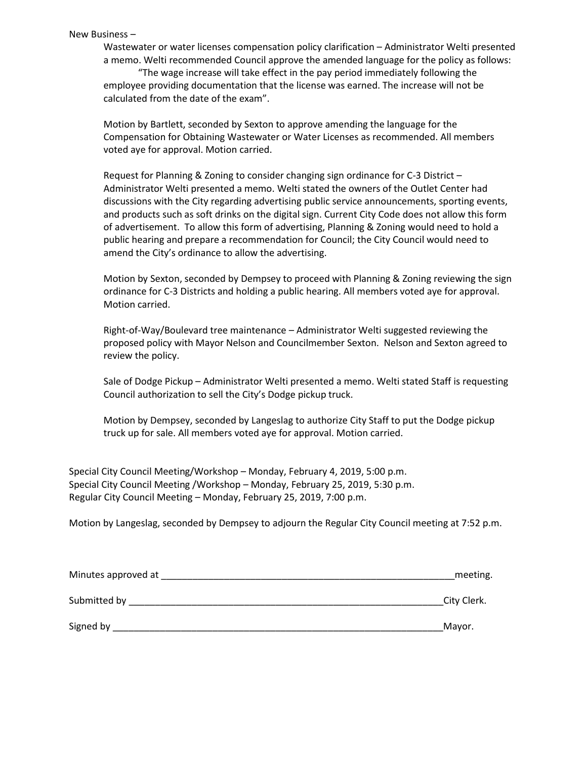#### New Business –

Wastewater or water licenses compensation policy clarification – Administrator Welti presented a memo. Welti recommended Council approve the amended language for the policy as follows:

"The wage increase will take effect in the pay period immediately following the employee providing documentation that the license was earned. The increase will not be calculated from the date of the exam".

Motion by Bartlett, seconded by Sexton to approve amending the language for the Compensation for Obtaining Wastewater or Water Licenses as recommended. All members voted aye for approval. Motion carried.

Request for Planning & Zoning to consider changing sign ordinance for C-3 District – Administrator Welti presented a memo. Welti stated the owners of the Outlet Center had discussions with the City regarding advertising public service announcements, sporting events, and products such as soft drinks on the digital sign. Current City Code does not allow this form of advertisement. To allow this form of advertising, Planning & Zoning would need to hold a public hearing and prepare a recommendation for Council; the City Council would need to amend the City's ordinance to allow the advertising.

Motion by Sexton, seconded by Dempsey to proceed with Planning & Zoning reviewing the sign ordinance for C-3 Districts and holding a public hearing. All members voted aye for approval. Motion carried.

Right-of-Way/Boulevard tree maintenance – Administrator Welti suggested reviewing the proposed policy with Mayor Nelson and Councilmember Sexton. Nelson and Sexton agreed to review the policy.

Sale of Dodge Pickup – Administrator Welti presented a memo. Welti stated Staff is requesting Council authorization to sell the City's Dodge pickup truck.

Motion by Dempsey, seconded by Langeslag to authorize City Staff to put the Dodge pickup truck up for sale. All members voted aye for approval. Motion carried.

Special City Council Meeting/Workshop – Monday, February 4, 2019, 5:00 p.m. Special City Council Meeting /Workshop – Monday, February 25, 2019, 5:30 p.m. Regular City Council Meeting – Monday, February 25, 2019, 7:00 p.m.

Motion by Langeslag, seconded by Dempsey to adjourn the Regular City Council meeting at 7:52 p.m.

| Minutes approved at | meeting.    |
|---------------------|-------------|
| Submitted by        | City Clerk. |
| Signed by           | Mayor.      |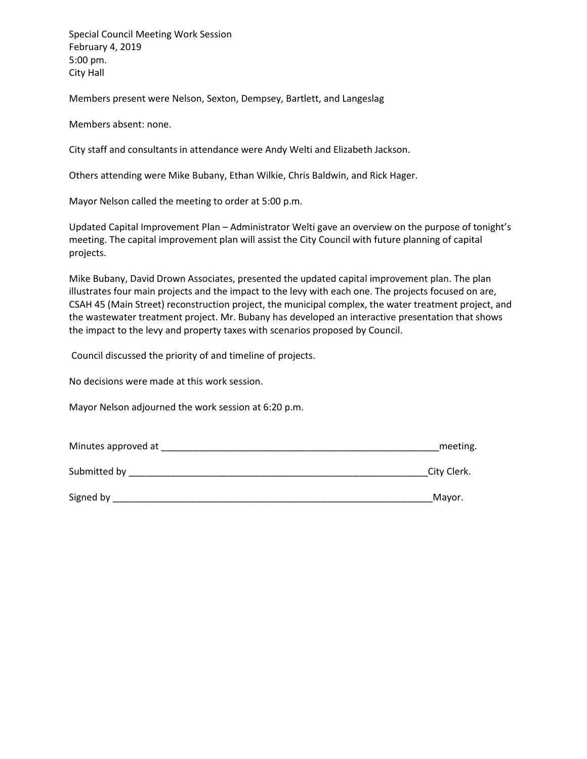Special Council Meeting Work Session February 4, 2019 5:00 pm. City Hall

Members present were Nelson, Sexton, Dempsey, Bartlett, and Langeslag

Members absent: none.

City staff and consultants in attendance were Andy Welti and Elizabeth Jackson.

Others attending were Mike Bubany, Ethan Wilkie, Chris Baldwin, and Rick Hager.

Mayor Nelson called the meeting to order at 5:00 p.m.

Updated Capital Improvement Plan – Administrator Welti gave an overview on the purpose of tonight's meeting. The capital improvement plan will assist the City Council with future planning of capital projects.

Mike Bubany, David Drown Associates, presented the updated capital improvement plan. The plan illustrates four main projects and the impact to the levy with each one. The projects focused on are, CSAH 45 (Main Street) reconstruction project, the municipal complex, the water treatment project, and the wastewater treatment project. Mr. Bubany has developed an interactive presentation that shows the impact to the levy and property taxes with scenarios proposed by Council.

Council discussed the priority of and timeline of projects.

No decisions were made at this work session.

Mayor Nelson adjourned the work session at 6:20 p.m.

| Minutes approved at | meeting.    |
|---------------------|-------------|
| Submitted by        | City Clerk. |
| Signed by           | Mayor.      |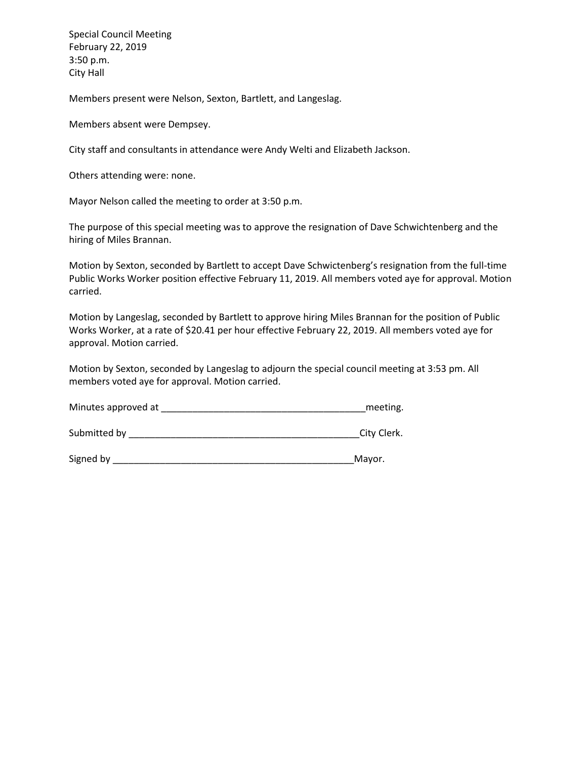Special Council Meeting February 22, 2019 3:50 p.m. City Hall

Members present were Nelson, Sexton, Bartlett, and Langeslag.

Members absent were Dempsey.

City staff and consultants in attendance were Andy Welti and Elizabeth Jackson.

Others attending were: none.

Mayor Nelson called the meeting to order at 3:50 p.m.

The purpose of this special meeting was to approve the resignation of Dave Schwichtenberg and the hiring of Miles Brannan.

Motion by Sexton, seconded by Bartlett to accept Dave Schwictenberg's resignation from the full-time Public Works Worker position effective February 11, 2019. All members voted aye for approval. Motion carried.

Motion by Langeslag, seconded by Bartlett to approve hiring Miles Brannan for the position of Public Works Worker, at a rate of \$20.41 per hour effective February 22, 2019. All members voted aye for approval. Motion carried.

Motion by Sexton, seconded by Langeslag to adjourn the special council meeting at 3:53 pm. All members voted aye for approval. Motion carried.

| Minutes approved at |  | meeting. |
|---------------------|--|----------|
|---------------------|--|----------|

Submitted by European City Clerk.

Signed by \_\_\_\_\_\_\_\_\_\_\_\_\_\_\_\_\_\_\_\_\_\_\_\_\_\_\_\_\_\_\_\_\_\_\_\_\_\_\_\_\_\_\_\_\_\_Mayor.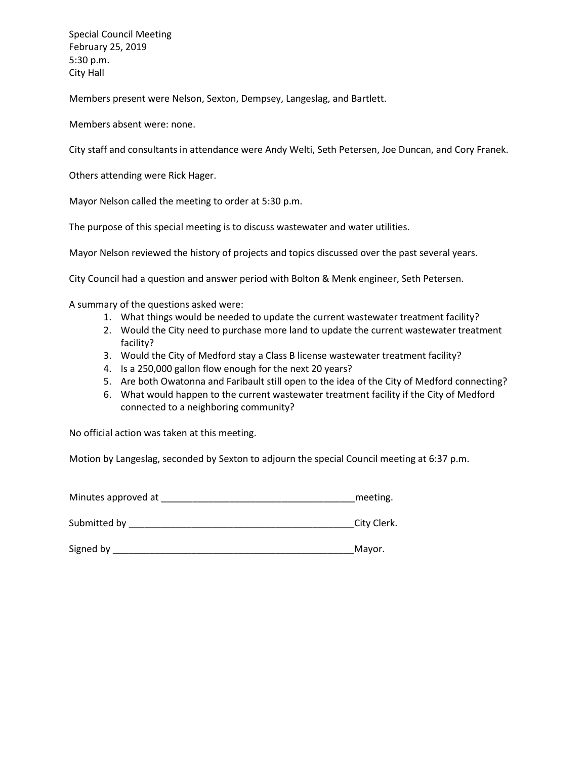Special Council Meeting February 25, 2019 5:30 p.m. City Hall

Members present were Nelson, Sexton, Dempsey, Langeslag, and Bartlett.

Members absent were: none.

City staff and consultants in attendance were Andy Welti, Seth Petersen, Joe Duncan, and Cory Franek.

Others attending were Rick Hager.

Mayor Nelson called the meeting to order at 5:30 p.m.

The purpose of this special meeting is to discuss wastewater and water utilities.

Mayor Nelson reviewed the history of projects and topics discussed over the past several years.

City Council had a question and answer period with Bolton & Menk engineer, Seth Petersen.

A summary of the questions asked were:

- 1. What things would be needed to update the current wastewater treatment facility?
- 2. Would the City need to purchase more land to update the current wastewater treatment facility?
- 3. Would the City of Medford stay a Class B license wastewater treatment facility?
- 4. Is a 250,000 gallon flow enough for the next 20 years?
- 5. Are both Owatonna and Faribault still open to the idea of the City of Medford connecting?
- 6. What would happen to the current wastewater treatment facility if the City of Medford connected to a neighboring community?

No official action was taken at this meeting.

Motion by Langeslag, seconded by Sexton to adjourn the special Council meeting at 6:37 p.m.

| Minutes approved at |  | meeting. |
|---------------------|--|----------|
|---------------------|--|----------|

Submitted by \_\_\_\_\_\_\_\_\_\_\_\_\_\_\_\_\_\_\_\_\_\_\_\_\_\_\_\_\_\_\_\_\_\_\_\_\_\_\_\_\_\_\_City Clerk.

Signed by **Example 20** Signed by **Mayor.**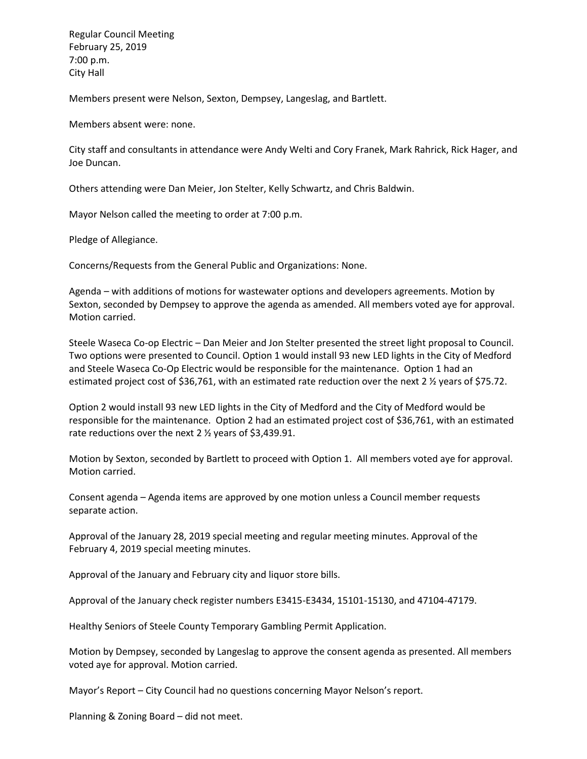Regular Council Meeting February 25, 2019 7:00 p.m. City Hall

Members present were Nelson, Sexton, Dempsey, Langeslag, and Bartlett.

Members absent were: none.

City staff and consultants in attendance were Andy Welti and Cory Franek, Mark Rahrick, Rick Hager, and Joe Duncan.

Others attending were Dan Meier, Jon Stelter, Kelly Schwartz, and Chris Baldwin.

Mayor Nelson called the meeting to order at 7:00 p.m.

Pledge of Allegiance.

Concerns/Requests from the General Public and Organizations: None.

Agenda – with additions of motions for wastewater options and developers agreements. Motion by Sexton, seconded by Dempsey to approve the agenda as amended. All members voted aye for approval. Motion carried.

Steele Waseca Co-op Electric – Dan Meier and Jon Stelter presented the street light proposal to Council. Two options were presented to Council. Option 1 would install 93 new LED lights in the City of Medford and Steele Waseca Co-Op Electric would be responsible for the maintenance. Option 1 had an estimated project cost of \$36,761, with an estimated rate reduction over the next 2 ½ years of \$75.72.

Option 2 would install 93 new LED lights in the City of Medford and the City of Medford would be responsible for the maintenance. Option 2 had an estimated project cost of \$36,761, with an estimated rate reductions over the next 2 ½ years of \$3,439.91.

Motion by Sexton, seconded by Bartlett to proceed with Option 1. All members voted aye for approval. Motion carried.

Consent agenda – Agenda items are approved by one motion unless a Council member requests separate action.

Approval of the January 28, 2019 special meeting and regular meeting minutes. Approval of the February 4, 2019 special meeting minutes.

Approval of the January and February city and liquor store bills.

Approval of the January check register numbers E3415-E3434, 15101-15130, and 47104-47179.

Healthy Seniors of Steele County Temporary Gambling Permit Application.

Motion by Dempsey, seconded by Langeslag to approve the consent agenda as presented. All members voted aye for approval. Motion carried.

Mayor's Report – City Council had no questions concerning Mayor Nelson's report.

Planning & Zoning Board – did not meet.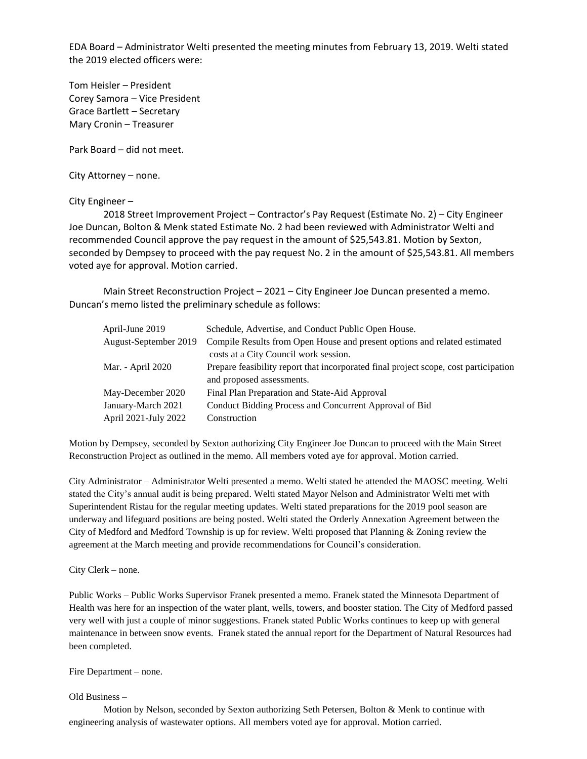EDA Board – Administrator Welti presented the meeting minutes from February 13, 2019. Welti stated the 2019 elected officers were:

Tom Heisler – President Corey Samora – Vice President Grace Bartlett – Secretary Mary Cronin – Treasurer

Park Board – did not meet.

City Attorney – none.

City Engineer –

2018 Street Improvement Project – Contractor's Pay Request (Estimate No. 2) – City Engineer Joe Duncan, Bolton & Menk stated Estimate No. 2 had been reviewed with Administrator Welti and recommended Council approve the pay request in the amount of \$25,543.81. Motion by Sexton, seconded by Dempsey to proceed with the pay request No. 2 in the amount of \$25,543.81. All members voted aye for approval. Motion carried.

Main Street Reconstruction Project – 2021 – City Engineer Joe Duncan presented a memo. Duncan's memo listed the preliminary schedule as follows:

| April-June 2019       | Schedule, Advertise, and Conduct Public Open House.                                  |
|-----------------------|--------------------------------------------------------------------------------------|
| August-September 2019 | Compile Results from Open House and present options and related estimated            |
|                       | costs at a City Council work session.                                                |
| Mar. - April 2020     | Prepare feasibility report that incorporated final project scope, cost participation |
|                       | and proposed assessments.                                                            |
| May-December 2020     | Final Plan Preparation and State-Aid Approval                                        |
| January-March 2021    | Conduct Bidding Process and Concurrent Approval of Bid                               |
| April 2021-July 2022  | Construction                                                                         |

Motion by Dempsey, seconded by Sexton authorizing City Engineer Joe Duncan to proceed with the Main Street Reconstruction Project as outlined in the memo. All members voted aye for approval. Motion carried.

City Administrator – Administrator Welti presented a memo. Welti stated he attended the MAOSC meeting. Welti stated the City's annual audit is being prepared. Welti stated Mayor Nelson and Administrator Welti met with Superintendent Ristau for the regular meeting updates. Welti stated preparations for the 2019 pool season are underway and lifeguard positions are being posted. Welti stated the Orderly Annexation Agreement between the City of Medford and Medford Township is up for review. Welti proposed that Planning & Zoning review the agreement at the March meeting and provide recommendations for Council's consideration.

City Clerk – none.

Public Works – Public Works Supervisor Franek presented a memo. Franek stated the Minnesota Department of Health was here for an inspection of the water plant, wells, towers, and booster station. The City of Medford passed very well with just a couple of minor suggestions. Franek stated Public Works continues to keep up with general maintenance in between snow events. Franek stated the annual report for the Department of Natural Resources had been completed.

Fire Department – none.

Old Business –

Motion by Nelson, seconded by Sexton authorizing Seth Petersen, Bolton & Menk to continue with engineering analysis of wastewater options. All members voted aye for approval. Motion carried.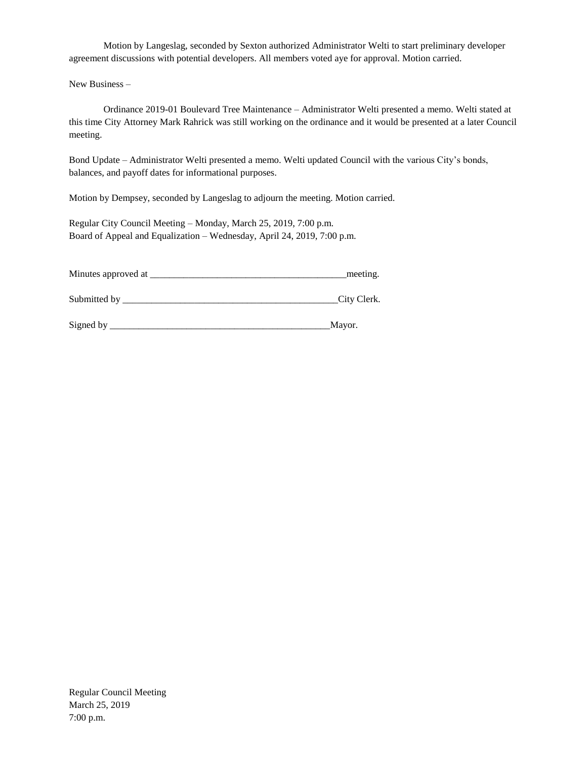Motion by Langeslag, seconded by Sexton authorized Administrator Welti to start preliminary developer agreement discussions with potential developers. All members voted aye for approval. Motion carried.

New Business –

Ordinance 2019-01 Boulevard Tree Maintenance – Administrator Welti presented a memo. Welti stated at this time City Attorney Mark Rahrick was still working on the ordinance and it would be presented at a later Council meeting.

Bond Update – Administrator Welti presented a memo. Welti updated Council with the various City's bonds, balances, and payoff dates for informational purposes.

Motion by Dempsey, seconded by Langeslag to adjourn the meeting. Motion carried.

Regular City Council Meeting – Monday, March 25, 2019, 7:00 p.m. Board of Appeal and Equalization – Wednesday, April 24, 2019, 7:00 p.m.

| Minutes approved at | meeting.    |
|---------------------|-------------|
|                     |             |
| Submitted by        | City Clerk. |

| Signed |  |
|--------|--|
|        |  |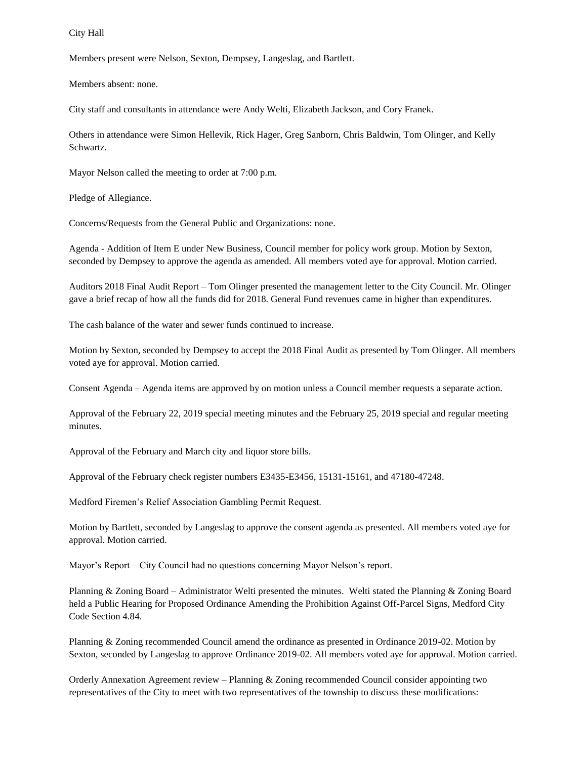City Hall

Members present were Nelson, Sexton, Dempsey, Langeslag, and Bartlett.

Members absent: none.

City staff and consultants in attendance were Andy Welti, Elizabeth Jackson, and Cory Franek.

Others in attendance were Simon Hellevik, Rick Hager, Greg Sanborn, Chris Baldwin, Tom Olinger, and Kelly Schwartz.

Mayor Nelson called the meeting to order at 7:00 p.m.

Pledge of Allegiance.

Concerns/Requests from the General Public and Organizations: none.

Agenda - Addition of Item E under New Business, Council member for policy work group. Motion by Sexton, seconded by Dempsey to approve the agenda as amended. All members voted aye for approval. Motion carried.

Auditors 2018 Final Audit Report – Tom Olinger presented the management letter to the City Council. Mr. Olinger gave a brief recap of how all the funds did for 2018. General Fund revenues came in higher than expenditures.

The cash balance of the water and sewer funds continued to increase.

Motion by Sexton, seconded by Dempsey to accept the 2018 Final Audit as presented by Tom Olinger. All members voted aye for approval. Motion carried.

Consent Agenda – Agenda items are approved by on motion unless a Council member requests a separate action.

Approval of the February 22, 2019 special meeting minutes and the February 25, 2019 special and regular meeting minutes.

Approval of the February and March city and liquor store bills.

Approval of the February check register numbers E3435-E3456, 15131-15161, and 47180-47248.

Medford Firemen's Relief Association Gambling Permit Request.

Motion by Bartlett, seconded by Langeslag to approve the consent agenda as presented. All members voted aye for approval. Motion carried.

Mayor's Report – City Council had no questions concerning Mayor Nelson's report.

Planning & Zoning Board – Administrator Welti presented the minutes. Welti stated the Planning & Zoning Board held a Public Hearing for Proposed Ordinance Amending the Prohibition Against Off-Parcel Signs, Medford City Code Section 4.84.

Planning & Zoning recommended Council amend the ordinance as presented in Ordinance 2019-02. Motion by Sexton, seconded by Langeslag to approve Ordinance 2019-02. All members voted aye for approval. Motion carried.

Orderly Annexation Agreement review – Planning & Zoning recommended Council consider appointing two representatives of the City to meet with two representatives of the township to discuss these modifications: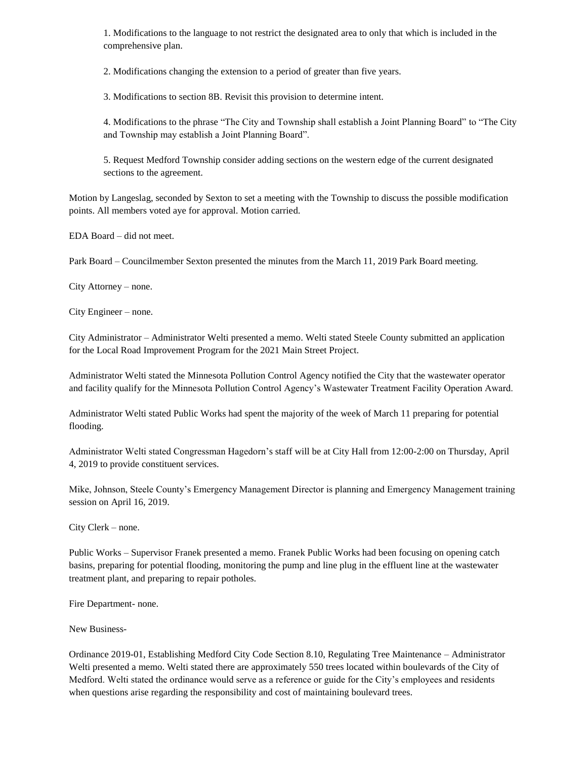1. Modifications to the language to not restrict the designated area to only that which is included in the comprehensive plan.

2. Modifications changing the extension to a period of greater than five years.

3. Modifications to section 8B. Revisit this provision to determine intent.

4. Modifications to the phrase "The City and Township shall establish a Joint Planning Board" to "The City and Township may establish a Joint Planning Board".

5. Request Medford Township consider adding sections on the western edge of the current designated sections to the agreement.

Motion by Langeslag, seconded by Sexton to set a meeting with the Township to discuss the possible modification points. All members voted aye for approval. Motion carried.

EDA Board – did not meet.

Park Board – Councilmember Sexton presented the minutes from the March 11, 2019 Park Board meeting.

City Attorney – none.

City Engineer – none.

City Administrator – Administrator Welti presented a memo. Welti stated Steele County submitted an application for the Local Road Improvement Program for the 2021 Main Street Project.

Administrator Welti stated the Minnesota Pollution Control Agency notified the City that the wastewater operator and facility qualify for the Minnesota Pollution Control Agency's Wastewater Treatment Facility Operation Award.

Administrator Welti stated Public Works had spent the majority of the week of March 11 preparing for potential flooding.

Administrator Welti stated Congressman Hagedorn's staff will be at City Hall from 12:00-2:00 on Thursday, April 4, 2019 to provide constituent services.

Mike, Johnson, Steele County's Emergency Management Director is planning and Emergency Management training session on April 16, 2019.

City Clerk – none.

Public Works – Supervisor Franek presented a memo. Franek Public Works had been focusing on opening catch basins, preparing for potential flooding, monitoring the pump and line plug in the effluent line at the wastewater treatment plant, and preparing to repair potholes.

Fire Department- none.

New Business-

Ordinance 2019-01, Establishing Medford City Code Section 8.10, Regulating Tree Maintenance – Administrator Welti presented a memo. Welti stated there are approximately 550 trees located within boulevards of the City of Medford. Welti stated the ordinance would serve as a reference or guide for the City's employees and residents when questions arise regarding the responsibility and cost of maintaining boulevard trees.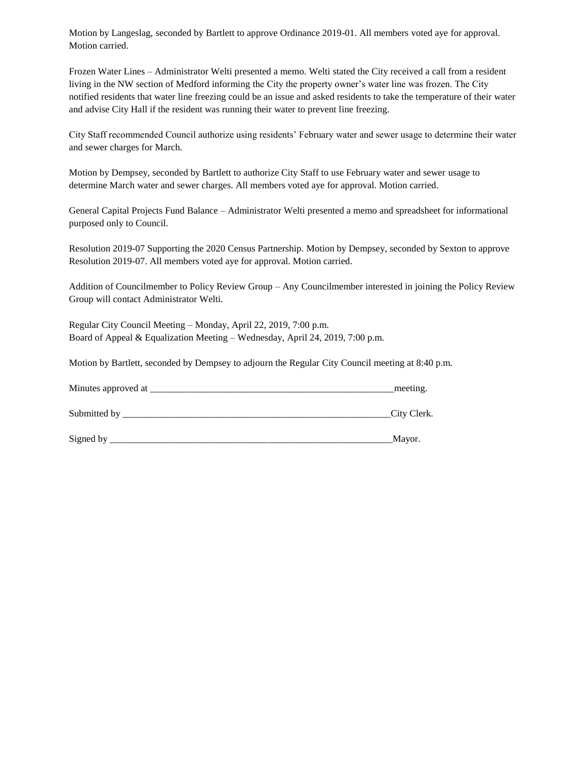Motion by Langeslag, seconded by Bartlett to approve Ordinance 2019-01. All members voted aye for approval. Motion carried.

Frozen Water Lines – Administrator Welti presented a memo. Welti stated the City received a call from a resident living in the NW section of Medford informing the City the property owner's water line was frozen. The City notified residents that water line freezing could be an issue and asked residents to take the temperature of their water and advise City Hall if the resident was running their water to prevent line freezing.

City Staff recommended Council authorize using residents' February water and sewer usage to determine their water and sewer charges for March.

Motion by Dempsey, seconded by Bartlett to authorize City Staff to use February water and sewer usage to determine March water and sewer charges. All members voted aye for approval. Motion carried.

General Capital Projects Fund Balance – Administrator Welti presented a memo and spreadsheet for informational purposed only to Council.

Resolution 2019-07 Supporting the 2020 Census Partnership. Motion by Dempsey, seconded by Sexton to approve Resolution 2019-07. All members voted aye for approval. Motion carried.

Addition of Councilmember to Policy Review Group – Any Councilmember interested in joining the Policy Review Group will contact Administrator Welti.

Regular City Council Meeting – Monday, April 22, 2019, 7:00 p.m. Board of Appeal & Equalization Meeting – Wednesday, April 24, 2019, 7:00 p.m.

Motion by Bartlett, seconded by Dempsey to adjourn the Regular City Council meeting at 8:40 p.m.

| Minutes approved at | meeting.     |
|---------------------|--------------|
| Submitted by        | _City Clerk. |
| Signed by           | Mayor.       |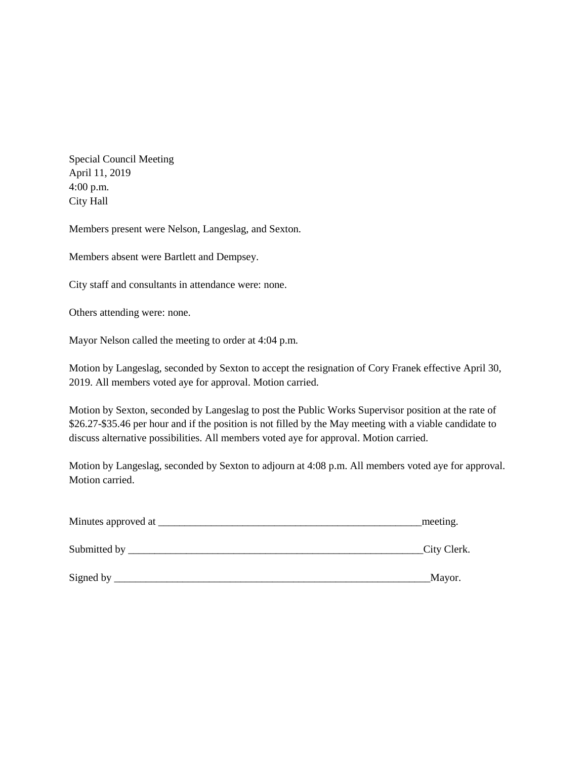Special Council Meeting April 11, 2019 4:00 p.m. City Hall

Members present were Nelson, Langeslag, and Sexton.

Members absent were Bartlett and Dempsey.

City staff and consultants in attendance were: none.

Others attending were: none.

Mayor Nelson called the meeting to order at 4:04 p.m.

Motion by Langeslag, seconded by Sexton to accept the resignation of Cory Franek effective April 30, 2019. All members voted aye for approval. Motion carried.

Motion by Sexton, seconded by Langeslag to post the Public Works Supervisor position at the rate of \$26.27-\$35.46 per hour and if the position is not filled by the May meeting with a viable candidate to discuss alternative possibilities. All members voted aye for approval. Motion carried.

Motion by Langeslag, seconded by Sexton to adjourn at 4:08 p.m. All members voted aye for approval. Motion carried.

| Minutes approved at | meeting.     |
|---------------------|--------------|
| Submitted by __     | _City Clerk. |
| Signed by           | Mayor.       |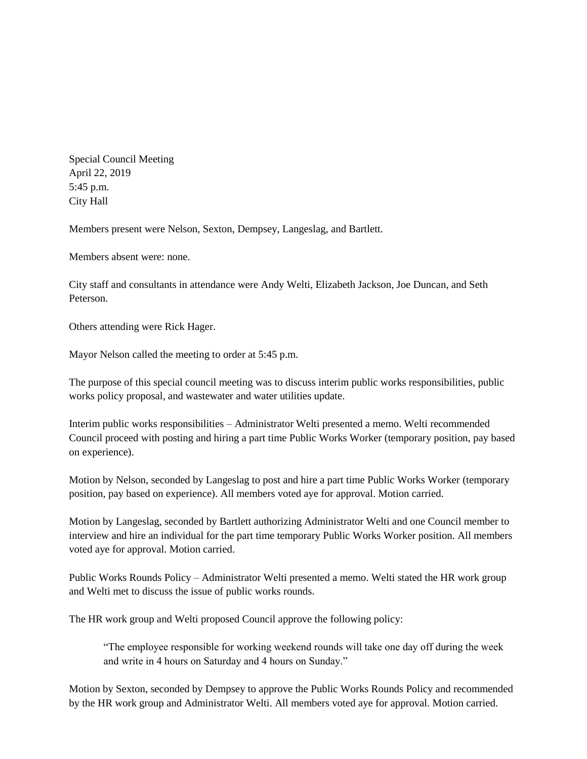Special Council Meeting April 22, 2019 5:45 p.m. City Hall

Members present were Nelson, Sexton, Dempsey, Langeslag, and Bartlett.

Members absent were: none.

City staff and consultants in attendance were Andy Welti, Elizabeth Jackson, Joe Duncan, and Seth Peterson.

Others attending were Rick Hager.

Mayor Nelson called the meeting to order at 5:45 p.m.

The purpose of this special council meeting was to discuss interim public works responsibilities, public works policy proposal, and wastewater and water utilities update.

Interim public works responsibilities – Administrator Welti presented a memo. Welti recommended Council proceed with posting and hiring a part time Public Works Worker (temporary position, pay based on experience).

Motion by Nelson, seconded by Langeslag to post and hire a part time Public Works Worker (temporary position, pay based on experience). All members voted aye for approval. Motion carried.

Motion by Langeslag, seconded by Bartlett authorizing Administrator Welti and one Council member to interview and hire an individual for the part time temporary Public Works Worker position. All members voted aye for approval. Motion carried.

Public Works Rounds Policy – Administrator Welti presented a memo. Welti stated the HR work group and Welti met to discuss the issue of public works rounds.

The HR work group and Welti proposed Council approve the following policy:

"The employee responsible for working weekend rounds will take one day off during the week and write in 4 hours on Saturday and 4 hours on Sunday."

Motion by Sexton, seconded by Dempsey to approve the Public Works Rounds Policy and recommended by the HR work group and Administrator Welti. All members voted aye for approval. Motion carried.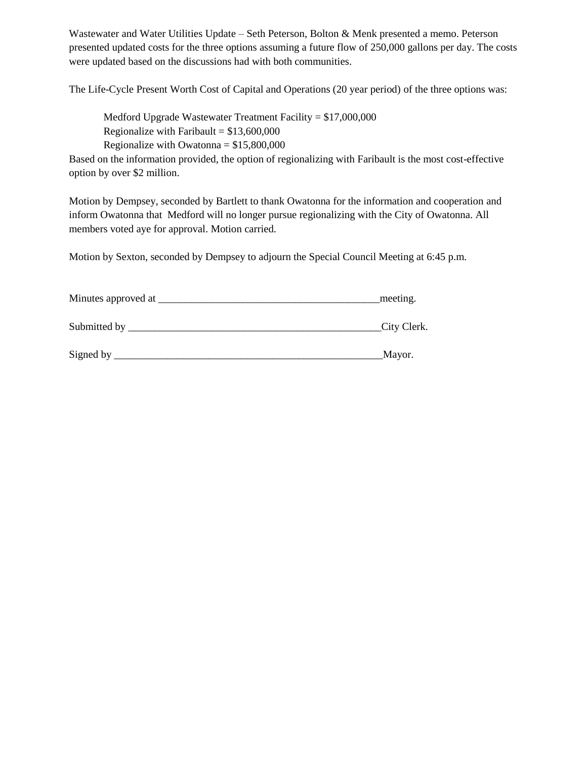Wastewater and Water Utilities Update – Seth Peterson, Bolton & Menk presented a memo. Peterson presented updated costs for the three options assuming a future flow of 250,000 gallons per day. The costs were updated based on the discussions had with both communities.

The Life-Cycle Present Worth Cost of Capital and Operations (20 year period) of the three options was:

Medford Upgrade Wastewater Treatment Facility = \$17,000,000 Regionalize with Faribault =  $$13,600,000$ Regionalize with Owatonna  $= $15,800,000$ 

Based on the information provided, the option of regionalizing with Faribault is the most cost-effective option by over \$2 million.

Motion by Dempsey, seconded by Bartlett to thank Owatonna for the information and cooperation and inform Owatonna that Medford will no longer pursue regionalizing with the City of Owatonna. All members voted aye for approval. Motion carried.

Motion by Sexton, seconded by Dempsey to adjourn the Special Council Meeting at 6:45 p.m.

| Minutes approved at | meeting.    |
|---------------------|-------------|
| Submitted by        | City Clerk. |
| Signed by           | Mayor.      |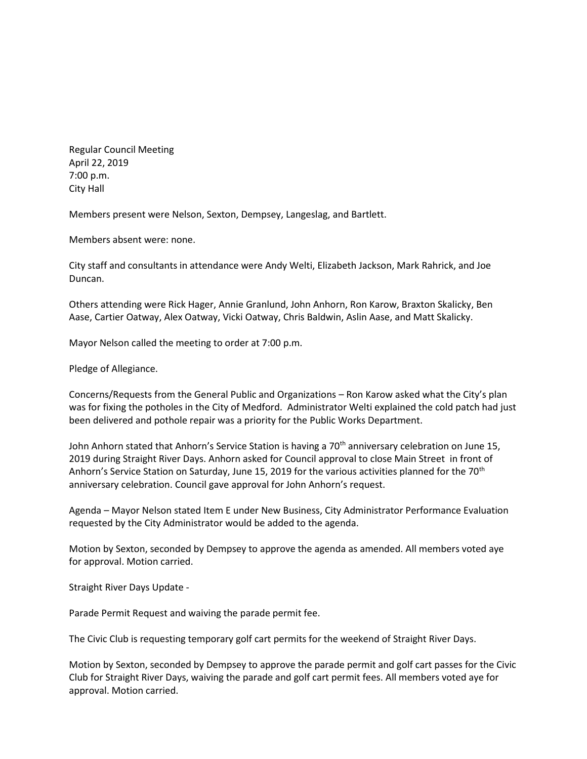Regular Council Meeting April 22, 2019 7:00 p.m. City Hall

Members present were Nelson, Sexton, Dempsey, Langeslag, and Bartlett.

Members absent were: none.

City staff and consultants in attendance were Andy Welti, Elizabeth Jackson, Mark Rahrick, and Joe Duncan.

Others attending were Rick Hager, Annie Granlund, John Anhorn, Ron Karow, Braxton Skalicky, Ben Aase, Cartier Oatway, Alex Oatway, Vicki Oatway, Chris Baldwin, Aslin Aase, and Matt Skalicky.

Mayor Nelson called the meeting to order at 7:00 p.m.

Pledge of Allegiance.

Concerns/Requests from the General Public and Organizations – Ron Karow asked what the City's plan was for fixing the potholes in the City of Medford. Administrator Welti explained the cold patch had just been delivered and pothole repair was a priority for the Public Works Department.

John Anhorn stated that Anhorn's Service Station is having a 70<sup>th</sup> anniversary celebration on June 15, 2019 during Straight River Days. Anhorn asked for Council approval to close Main Street in front of Anhorn's Service Station on Saturday, June 15, 2019 for the various activities planned for the 70<sup>th</sup> anniversary celebration. Council gave approval for John Anhorn's request.

Agenda – Mayor Nelson stated Item E under New Business, City Administrator Performance Evaluation requested by the City Administrator would be added to the agenda.

Motion by Sexton, seconded by Dempsey to approve the agenda as amended. All members voted aye for approval. Motion carried.

Straight River Days Update -

Parade Permit Request and waiving the parade permit fee.

The Civic Club is requesting temporary golf cart permits for the weekend of Straight River Days.

Motion by Sexton, seconded by Dempsey to approve the parade permit and golf cart passes for the Civic Club for Straight River Days, waiving the parade and golf cart permit fees. All members voted aye for approval. Motion carried.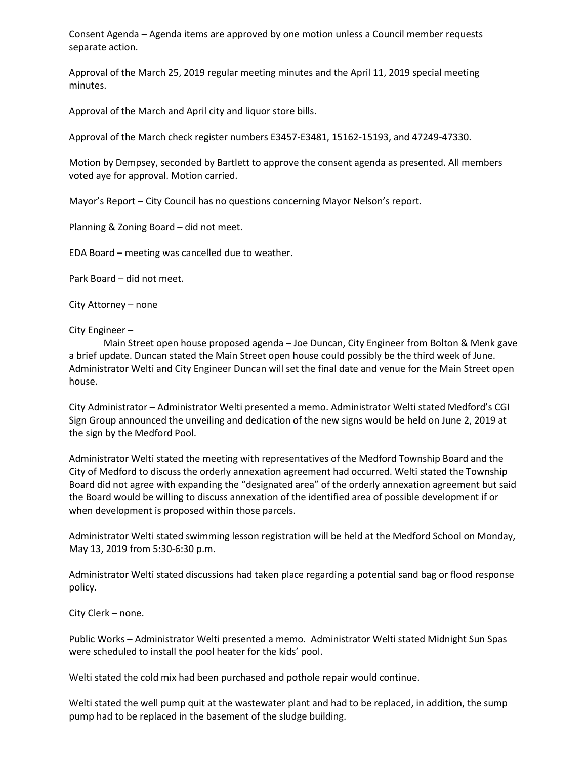Consent Agenda – Agenda items are approved by one motion unless a Council member requests separate action.

Approval of the March 25, 2019 regular meeting minutes and the April 11, 2019 special meeting minutes.

Approval of the March and April city and liquor store bills.

Approval of the March check register numbers E3457-E3481, 15162-15193, and 47249-47330.

Motion by Dempsey, seconded by Bartlett to approve the consent agenda as presented. All members voted aye for approval. Motion carried.

Mayor's Report – City Council has no questions concerning Mayor Nelson's report.

Planning & Zoning Board – did not meet.

EDA Board – meeting was cancelled due to weather.

Park Board – did not meet.

City Attorney – none

City Engineer –

Main Street open house proposed agenda – Joe Duncan, City Engineer from Bolton & Menk gave a brief update. Duncan stated the Main Street open house could possibly be the third week of June. Administrator Welti and City Engineer Duncan will set the final date and venue for the Main Street open house.

City Administrator – Administrator Welti presented a memo. Administrator Welti stated Medford's CGI Sign Group announced the unveiling and dedication of the new signs would be held on June 2, 2019 at the sign by the Medford Pool.

Administrator Welti stated the meeting with representatives of the Medford Township Board and the City of Medford to discuss the orderly annexation agreement had occurred. Welti stated the Township Board did not agree with expanding the "designated area" of the orderly annexation agreement but said the Board would be willing to discuss annexation of the identified area of possible development if or when development is proposed within those parcels.

Administrator Welti stated swimming lesson registration will be held at the Medford School on Monday, May 13, 2019 from 5:30-6:30 p.m.

Administrator Welti stated discussions had taken place regarding a potential sand bag or flood response policy.

City Clerk – none.

Public Works – Administrator Welti presented a memo. Administrator Welti stated Midnight Sun Spas were scheduled to install the pool heater for the kids' pool.

Welti stated the cold mix had been purchased and pothole repair would continue.

Welti stated the well pump quit at the wastewater plant and had to be replaced, in addition, the sump pump had to be replaced in the basement of the sludge building.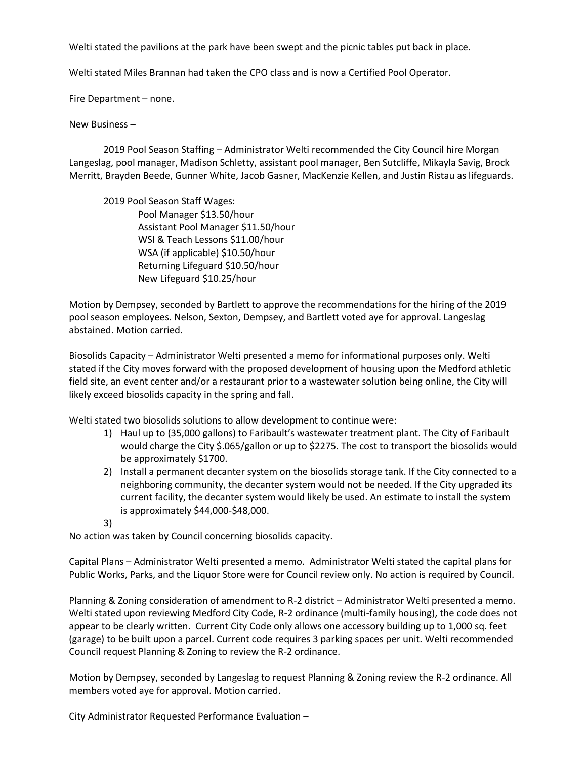Welti stated the pavilions at the park have been swept and the picnic tables put back in place.

Welti stated Miles Brannan had taken the CPO class and is now a Certified Pool Operator.

Fire Department – none.

New Business –

2019 Pool Season Staffing – Administrator Welti recommended the City Council hire Morgan Langeslag, pool manager, Madison Schletty, assistant pool manager, Ben Sutcliffe, Mikayla Savig, Brock Merritt, Brayden Beede, Gunner White, Jacob Gasner, MacKenzie Kellen, and Justin Ristau as lifeguards.

2019 Pool Season Staff Wages: Pool Manager \$13.50/hour Assistant Pool Manager \$11.50/hour WSI & Teach Lessons \$11.00/hour WSA (if applicable) \$10.50/hour Returning Lifeguard \$10.50/hour New Lifeguard \$10.25/hour

Motion by Dempsey, seconded by Bartlett to approve the recommendations for the hiring of the 2019 pool season employees. Nelson, Sexton, Dempsey, and Bartlett voted aye for approval. Langeslag abstained. Motion carried.

Biosolids Capacity – Administrator Welti presented a memo for informational purposes only. Welti stated if the City moves forward with the proposed development of housing upon the Medford athletic field site, an event center and/or a restaurant prior to a wastewater solution being online, the City will likely exceed biosolids capacity in the spring and fall.

Welti stated two biosolids solutions to allow development to continue were:

- 1) Haul up to (35,000 gallons) to Faribault's wastewater treatment plant. The City of Faribault would charge the City \$.065/gallon or up to \$2275. The cost to transport the biosolids would be approximately \$1700.
- 2) Install a permanent decanter system on the biosolids storage tank. If the City connected to a neighboring community, the decanter system would not be needed. If the City upgraded its current facility, the decanter system would likely be used. An estimate to install the system is approximately \$44,000-\$48,000.
- 3)

No action was taken by Council concerning biosolids capacity.

Capital Plans – Administrator Welti presented a memo. Administrator Welti stated the capital plans for Public Works, Parks, and the Liquor Store were for Council review only. No action is required by Council.

Planning & Zoning consideration of amendment to R-2 district – Administrator Welti presented a memo. Welti stated upon reviewing Medford City Code, R-2 ordinance (multi-family housing), the code does not appear to be clearly written. Current City Code only allows one accessory building up to 1,000 sq. feet (garage) to be built upon a parcel. Current code requires 3 parking spaces per unit. Welti recommended Council request Planning & Zoning to review the R-2 ordinance.

Motion by Dempsey, seconded by Langeslag to request Planning & Zoning review the R-2 ordinance. All members voted aye for approval. Motion carried.

City Administrator Requested Performance Evaluation –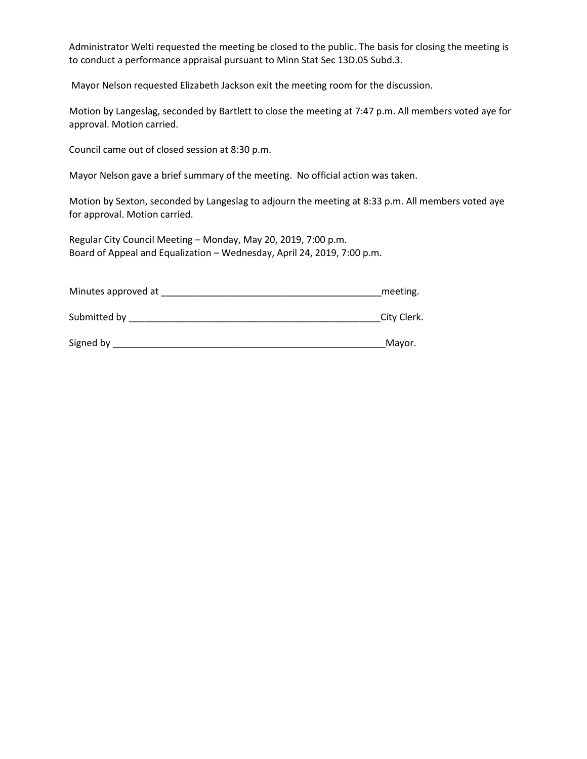Administrator Welti requested the meeting be closed to the public. The basis for closing the meeting is to conduct a performance appraisal pursuant to Minn Stat Sec 13D.05 Subd.3.

Mayor Nelson requested Elizabeth Jackson exit the meeting room for the discussion.

Motion by Langeslag, seconded by Bartlett to close the meeting at 7:47 p.m. All members voted aye for approval. Motion carried.

Council came out of closed session at 8:30 p.m.

Mayor Nelson gave a brief summary of the meeting. No official action was taken.

Motion by Sexton, seconded by Langeslag to adjourn the meeting at 8:33 p.m. All members voted aye for approval. Motion carried.

Regular City Council Meeting – Monday, May 20, 2019, 7:00 p.m. Board of Appeal and Equalization – Wednesday, April 24, 2019, 7:00 p.m.

Minutes approved at **Example 20** and the meeting.

Submitted by **Example 20** Submitted by **Example 20** Submitted by **Example 20** Submitted by **Example 20** Submitted by **Example 20** Submitted by **Example 20** Submitted by **Example 20** Submitted by **Example 20** Submitted by

Signed by \_\_\_\_\_\_\_\_\_\_\_\_\_\_\_\_\_\_\_\_\_\_\_\_\_\_\_\_\_\_\_\_\_\_\_\_\_\_\_\_\_\_\_\_\_\_\_\_\_\_\_\_Mayor.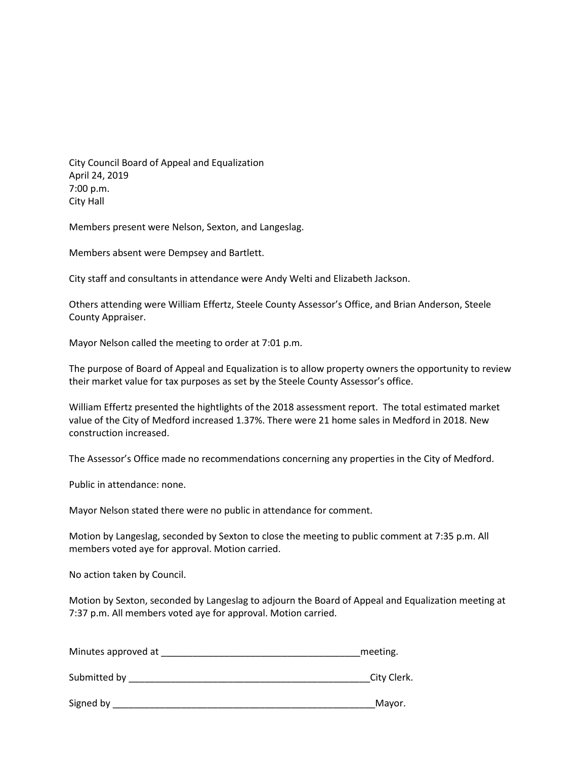City Council Board of Appeal and Equalization April 24, 2019 7:00 p.m. City Hall

Members present were Nelson, Sexton, and Langeslag.

Members absent were Dempsey and Bartlett.

City staff and consultants in attendance were Andy Welti and Elizabeth Jackson.

Others attending were William Effertz, Steele County Assessor's Office, and Brian Anderson, Steele County Appraiser.

Mayor Nelson called the meeting to order at 7:01 p.m.

The purpose of Board of Appeal and Equalization is to allow property owners the opportunity to review their market value for tax purposes as set by the Steele County Assessor's office.

William Effertz presented the hightlights of the 2018 assessment report. The total estimated market value of the City of Medford increased 1.37%. There were 21 home sales in Medford in 2018. New construction increased.

The Assessor's Office made no recommendations concerning any properties in the City of Medford.

Public in attendance: none.

Mayor Nelson stated there were no public in attendance for comment.

Motion by Langeslag, seconded by Sexton to close the meeting to public comment at 7:35 p.m. All members voted aye for approval. Motion carried.

No action taken by Council.

Motion by Sexton, seconded by Langeslag to adjourn the Board of Appeal and Equalization meeting at 7:37 p.m. All members voted aye for approval. Motion carried.

| Minutes approved at | meeting.    |
|---------------------|-------------|
|                     |             |
| Submitted by        | City Clerk. |

Signed by \_\_\_\_\_\_\_\_\_\_\_\_\_\_\_\_\_\_\_\_\_\_\_\_\_\_\_\_\_\_\_\_\_\_\_\_\_\_\_\_\_\_\_\_\_\_\_\_\_\_Mayor.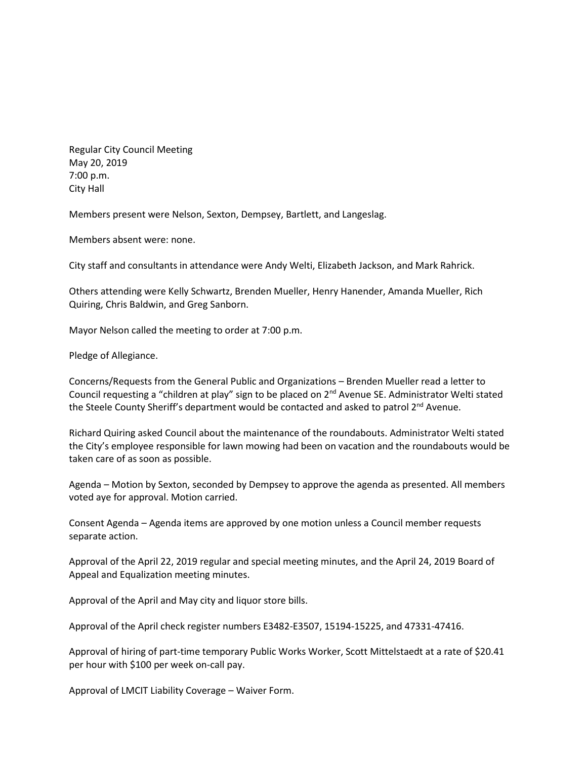Regular City Council Meeting May 20, 2019 7:00 p.m. City Hall

Members present were Nelson, Sexton, Dempsey, Bartlett, and Langeslag.

Members absent were: none.

City staff and consultants in attendance were Andy Welti, Elizabeth Jackson, and Mark Rahrick.

Others attending were Kelly Schwartz, Brenden Mueller, Henry Hanender, Amanda Mueller, Rich Quiring, Chris Baldwin, and Greg Sanborn.

Mayor Nelson called the meeting to order at 7:00 p.m.

Pledge of Allegiance.

Concerns/Requests from the General Public and Organizations – Brenden Mueller read a letter to Council requesting a "children at play" sign to be placed on 2<sup>nd</sup> Avenue SE. Administrator Welti stated the Steele County Sheriff's department would be contacted and asked to patrol  $2^{nd}$  Avenue.

Richard Quiring asked Council about the maintenance of the roundabouts. Administrator Welti stated the City's employee responsible for lawn mowing had been on vacation and the roundabouts would be taken care of as soon as possible.

Agenda – Motion by Sexton, seconded by Dempsey to approve the agenda as presented. All members voted aye for approval. Motion carried.

Consent Agenda – Agenda items are approved by one motion unless a Council member requests separate action.

Approval of the April 22, 2019 regular and special meeting minutes, and the April 24, 2019 Board of Appeal and Equalization meeting minutes.

Approval of the April and May city and liquor store bills.

Approval of the April check register numbers E3482-E3507, 15194-15225, and 47331-47416.

Approval of hiring of part-time temporary Public Works Worker, Scott Mittelstaedt at a rate of \$20.41 per hour with \$100 per week on-call pay.

Approval of LMCIT Liability Coverage – Waiver Form.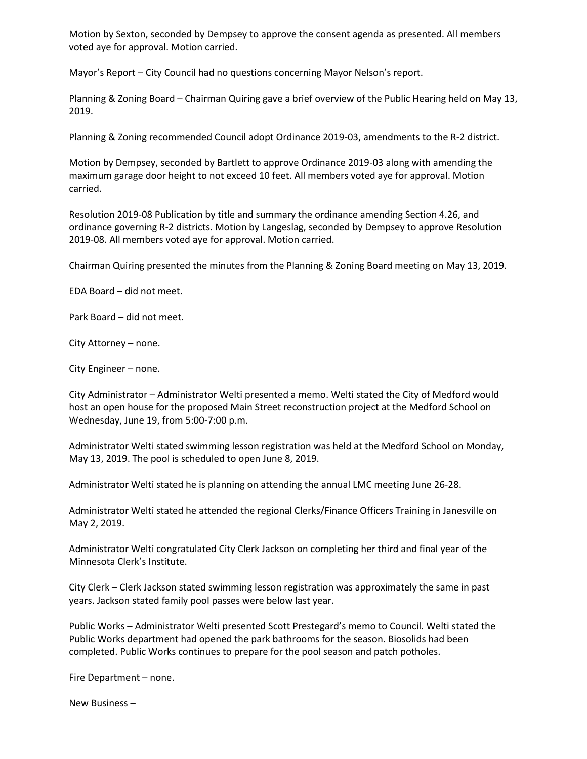Motion by Sexton, seconded by Dempsey to approve the consent agenda as presented. All members voted aye for approval. Motion carried.

Mayor's Report – City Council had no questions concerning Mayor Nelson's report.

Planning & Zoning Board – Chairman Quiring gave a brief overview of the Public Hearing held on May 13, 2019.

Planning & Zoning recommended Council adopt Ordinance 2019-03, amendments to the R-2 district.

Motion by Dempsey, seconded by Bartlett to approve Ordinance 2019-03 along with amending the maximum garage door height to not exceed 10 feet. All members voted aye for approval. Motion carried.

Resolution 2019-08 Publication by title and summary the ordinance amending Section 4.26, and ordinance governing R-2 districts. Motion by Langeslag, seconded by Dempsey to approve Resolution 2019-08. All members voted aye for approval. Motion carried.

Chairman Quiring presented the minutes from the Planning & Zoning Board meeting on May 13, 2019.

EDA Board – did not meet.

Park Board – did not meet.

City Attorney – none.

City Engineer – none.

City Administrator – Administrator Welti presented a memo. Welti stated the City of Medford would host an open house for the proposed Main Street reconstruction project at the Medford School on Wednesday, June 19, from 5:00-7:00 p.m.

Administrator Welti stated swimming lesson registration was held at the Medford School on Monday, May 13, 2019. The pool is scheduled to open June 8, 2019.

Administrator Welti stated he is planning on attending the annual LMC meeting June 26-28.

Administrator Welti stated he attended the regional Clerks/Finance Officers Training in Janesville on May 2, 2019.

Administrator Welti congratulated City Clerk Jackson on completing her third and final year of the Minnesota Clerk's Institute.

City Clerk – Clerk Jackson stated swimming lesson registration was approximately the same in past years. Jackson stated family pool passes were below last year.

Public Works – Administrator Welti presented Scott Prestegard's memo to Council. Welti stated the Public Works department had opened the park bathrooms for the season. Biosolids had been completed. Public Works continues to prepare for the pool season and patch potholes.

Fire Department – none.

New Business –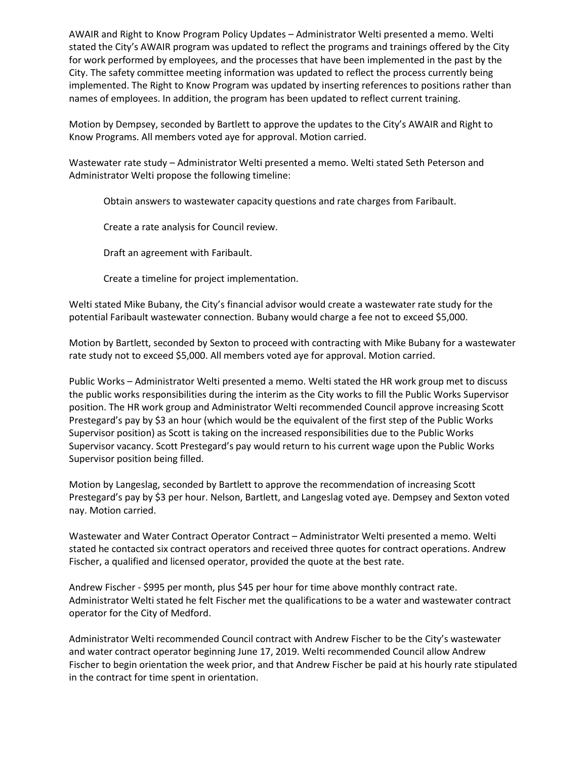AWAIR and Right to Know Program Policy Updates – Administrator Welti presented a memo. Welti stated the City's AWAIR program was updated to reflect the programs and trainings offered by the City for work performed by employees, and the processes that have been implemented in the past by the City. The safety committee meeting information was updated to reflect the process currently being implemented. The Right to Know Program was updated by inserting references to positions rather than names of employees. In addition, the program has been updated to reflect current training.

Motion by Dempsey, seconded by Bartlett to approve the updates to the City's AWAIR and Right to Know Programs. All members voted aye for approval. Motion carried.

Wastewater rate study – Administrator Welti presented a memo. Welti stated Seth Peterson and Administrator Welti propose the following timeline:

Obtain answers to wastewater capacity questions and rate charges from Faribault.

Create a rate analysis for Council review.

Draft an agreement with Faribault.

Create a timeline for project implementation.

Welti stated Mike Bubany, the City's financial advisor would create a wastewater rate study for the potential Faribault wastewater connection. Bubany would charge a fee not to exceed \$5,000.

Motion by Bartlett, seconded by Sexton to proceed with contracting with Mike Bubany for a wastewater rate study not to exceed \$5,000. All members voted aye for approval. Motion carried.

Public Works – Administrator Welti presented a memo. Welti stated the HR work group met to discuss the public works responsibilities during the interim as the City works to fill the Public Works Supervisor position. The HR work group and Administrator Welti recommended Council approve increasing Scott Prestegard's pay by \$3 an hour (which would be the equivalent of the first step of the Public Works Supervisor position) as Scott is taking on the increased responsibilities due to the Public Works Supervisor vacancy. Scott Prestegard's pay would return to his current wage upon the Public Works Supervisor position being filled.

Motion by Langeslag, seconded by Bartlett to approve the recommendation of increasing Scott Prestegard's pay by \$3 per hour. Nelson, Bartlett, and Langeslag voted aye. Dempsey and Sexton voted nay. Motion carried.

Wastewater and Water Contract Operator Contract – Administrator Welti presented a memo. Welti stated he contacted six contract operators and received three quotes for contract operations. Andrew Fischer, a qualified and licensed operator, provided the quote at the best rate.

Andrew Fischer - \$995 per month, plus \$45 per hour for time above monthly contract rate. Administrator Welti stated he felt Fischer met the qualifications to be a water and wastewater contract operator for the City of Medford.

Administrator Welti recommended Council contract with Andrew Fischer to be the City's wastewater and water contract operator beginning June 17, 2019. Welti recommended Council allow Andrew Fischer to begin orientation the week prior, and that Andrew Fischer be paid at his hourly rate stipulated in the contract for time spent in orientation.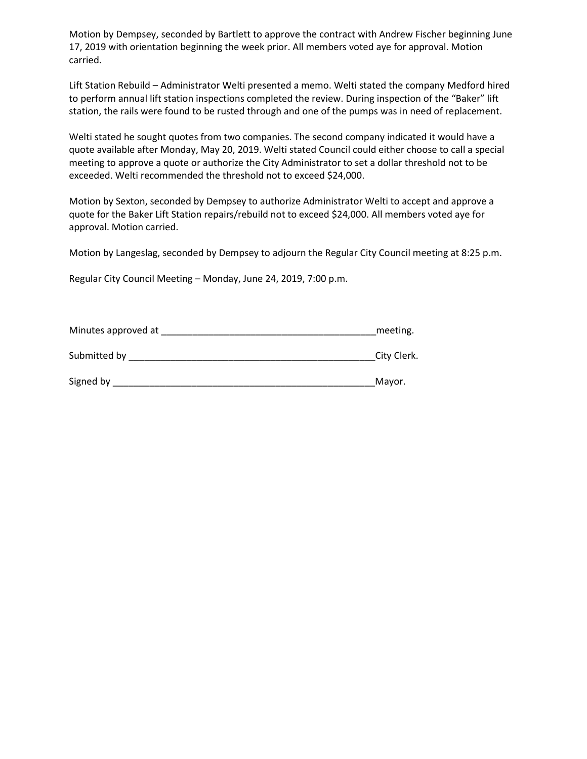Motion by Dempsey, seconded by Bartlett to approve the contract with Andrew Fischer beginning June 17, 2019 with orientation beginning the week prior. All members voted aye for approval. Motion carried.

Lift Station Rebuild – Administrator Welti presented a memo. Welti stated the company Medford hired to perform annual lift station inspections completed the review. During inspection of the "Baker" lift station, the rails were found to be rusted through and one of the pumps was in need of replacement.

Welti stated he sought quotes from two companies. The second company indicated it would have a quote available after Monday, May 20, 2019. Welti stated Council could either choose to call a special meeting to approve a quote or authorize the City Administrator to set a dollar threshold not to be exceeded. Welti recommended the threshold not to exceed \$24,000.

Motion by Sexton, seconded by Dempsey to authorize Administrator Welti to accept and approve a quote for the Baker Lift Station repairs/rebuild not to exceed \$24,000. All members voted aye for approval. Motion carried.

Motion by Langeslag, seconded by Dempsey to adjourn the Regular City Council meeting at 8:25 p.m.

Regular City Council Meeting – Monday, June 24, 2019, 7:00 p.m.

| Minutes approved at | meeting.    |
|---------------------|-------------|
| Submitted by        | City Clerk. |
| Signed by           | Mayor.      |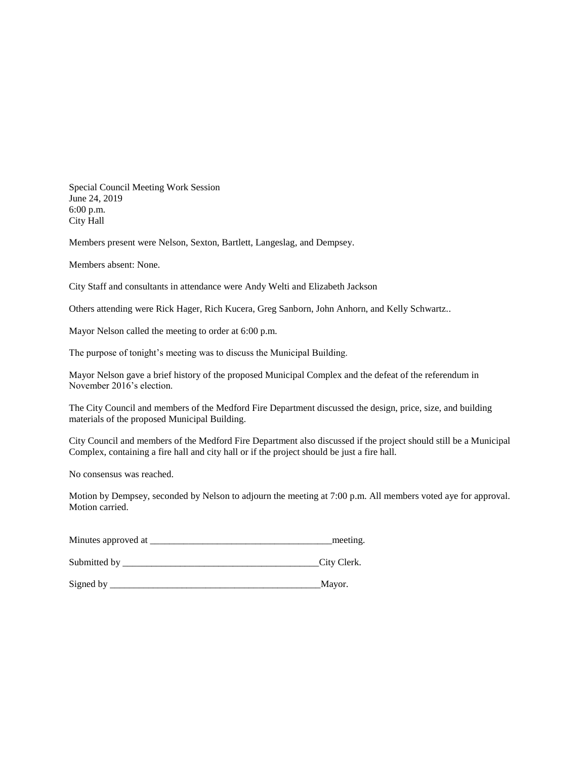Special Council Meeting Work Session June 24, 2019 6:00 p.m. City Hall

Members present were Nelson, Sexton, Bartlett, Langeslag, and Dempsey.

Members absent: None.

City Staff and consultants in attendance were Andy Welti and Elizabeth Jackson

Others attending were Rick Hager, Rich Kucera, Greg Sanborn, John Anhorn, and Kelly Schwartz..

Mayor Nelson called the meeting to order at 6:00 p.m.

The purpose of tonight's meeting was to discuss the Municipal Building.

Mayor Nelson gave a brief history of the proposed Municipal Complex and the defeat of the referendum in November 2016's election.

The City Council and members of the Medford Fire Department discussed the design, price, size, and building materials of the proposed Municipal Building.

City Council and members of the Medford Fire Department also discussed if the project should still be a Municipal Complex, containing a fire hall and city hall or if the project should be just a fire hall.

No consensus was reached.

Motion by Dempsey, seconded by Nelson to adjourn the meeting at 7:00 p.m. All members voted aye for approval. Motion carried.

Minutes approved at \_\_\_\_\_\_\_\_\_\_\_\_\_\_\_\_\_\_\_\_\_\_\_\_\_\_\_\_\_\_\_\_\_\_\_\_\_\_meeting.

Submitted by \_\_\_\_\_\_\_\_\_\_\_\_\_\_\_\_\_\_\_\_\_\_\_\_\_\_\_\_\_\_\_\_\_\_\_\_\_\_\_\_\_City Clerk.

Signed by \_\_\_\_\_\_\_\_\_\_\_\_\_\_\_\_\_\_\_\_\_\_\_\_\_\_\_\_\_\_\_\_\_\_\_\_\_\_\_\_\_\_\_\_Mayor.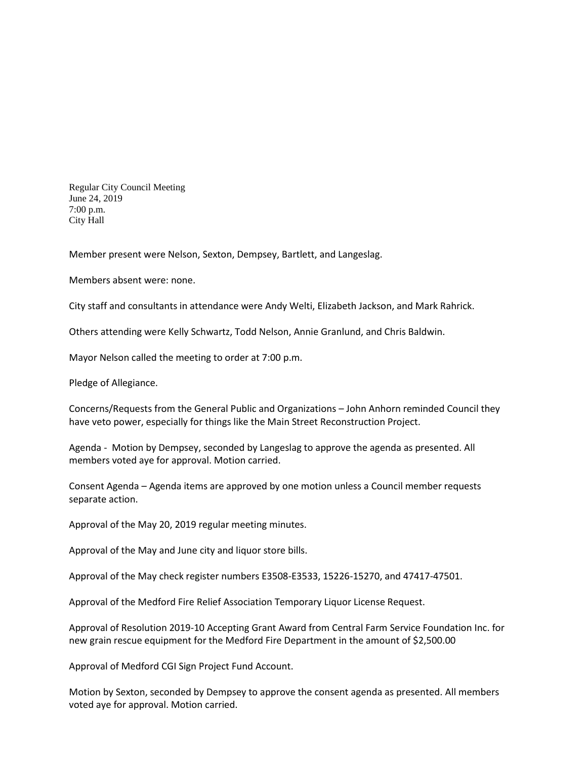Regular City Council Meeting June 24, 2019 7:00 p.m. City Hall

Member present were Nelson, Sexton, Dempsey, Bartlett, and Langeslag.

Members absent were: none.

City staff and consultants in attendance were Andy Welti, Elizabeth Jackson, and Mark Rahrick.

Others attending were Kelly Schwartz, Todd Nelson, Annie Granlund, and Chris Baldwin.

Mayor Nelson called the meeting to order at 7:00 p.m.

Pledge of Allegiance.

Concerns/Requests from the General Public and Organizations – John Anhorn reminded Council they have veto power, especially for things like the Main Street Reconstruction Project.

Agenda - Motion by Dempsey, seconded by Langeslag to approve the agenda as presented. All members voted aye for approval. Motion carried.

Consent Agenda – Agenda items are approved by one motion unless a Council member requests separate action.

Approval of the May 20, 2019 regular meeting minutes.

Approval of the May and June city and liquor store bills.

Approval of the May check register numbers E3508-E3533, 15226-15270, and 47417-47501.

Approval of the Medford Fire Relief Association Temporary Liquor License Request.

Approval of Resolution 2019-10 Accepting Grant Award from Central Farm Service Foundation Inc. for new grain rescue equipment for the Medford Fire Department in the amount of \$2,500.00

Approval of Medford CGI Sign Project Fund Account.

Motion by Sexton, seconded by Dempsey to approve the consent agenda as presented. All members voted aye for approval. Motion carried.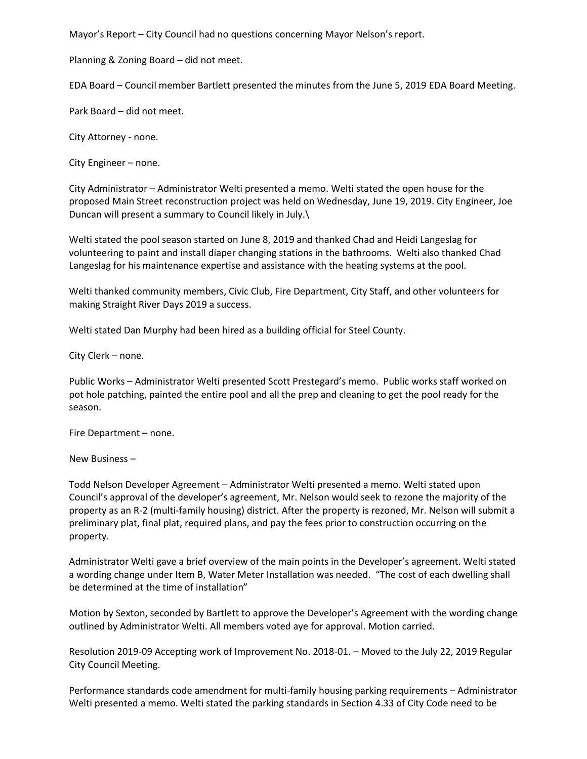Mayor's Report – City Council had no questions concerning Mayor Nelson's report.

Planning & Zoning Board – did not meet.

EDA Board – Council member Bartlett presented the minutes from the June 5, 2019 EDA Board Meeting.

Park Board – did not meet.

City Attorney - none.

City Engineer – none.

City Administrator – Administrator Welti presented a memo. Welti stated the open house for the proposed Main Street reconstruction project was held on Wednesday, June 19, 2019. City Engineer, Joe Duncan will present a summary to Council likely in July.\

Welti stated the pool season started on June 8, 2019 and thanked Chad and Heidi Langeslag for volunteering to paint and install diaper changing stations in the bathrooms. Welti also thanked Chad Langeslag for his maintenance expertise and assistance with the heating systems at the pool.

Welti thanked community members, Civic Club, Fire Department, City Staff, and other volunteers for making Straight River Days 2019 a success.

Welti stated Dan Murphy had been hired as a building official for Steel County.

City Clerk – none.

Public Works – Administrator Welti presented Scott Prestegard's memo. Public works staff worked on pot hole patching, painted the entire pool and all the prep and cleaning to get the pool ready for the season.

Fire Department – none.

New Business –

Todd Nelson Developer Agreement – Administrator Welti presented a memo. Welti stated upon Council's approval of the developer's agreement, Mr. Nelson would seek to rezone the majority of the property as an R-2 (multi-family housing) district. After the property is rezoned, Mr. Nelson will submit a preliminary plat, final plat, required plans, and pay the fees prior to construction occurring on the property.

Administrator Welti gave a brief overview of the main points in the Developer's agreement. Welti stated a wording change under Item B, Water Meter Installation was needed. "The cost of each dwelling shall be determined at the time of installation"

Motion by Sexton, seconded by Bartlett to approve the Developer's Agreement with the wording change outlined by Administrator Welti. All members voted aye for approval. Motion carried.

Resolution 2019-09 Accepting work of Improvement No. 2018-01. – Moved to the July 22, 2019 Regular City Council Meeting.

Performance standards code amendment for multi-family housing parking requirements – Administrator Welti presented a memo. Welti stated the parking standards in Section 4.33 of City Code need to be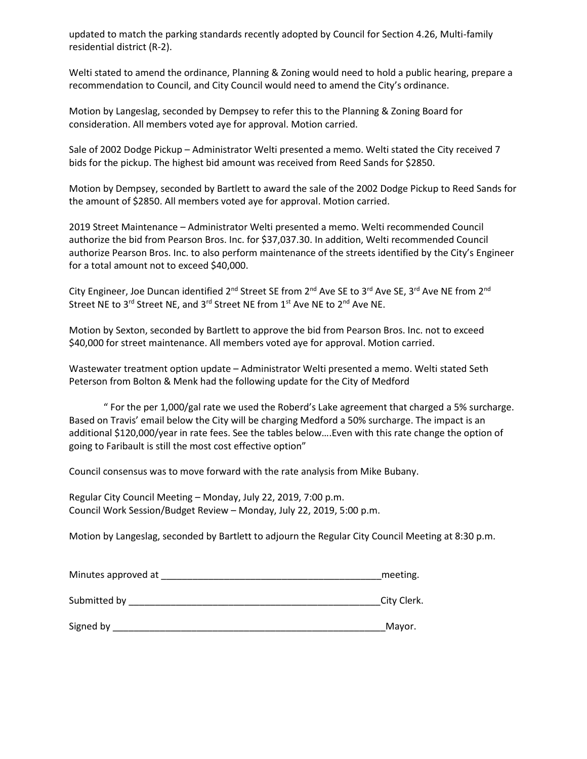updated to match the parking standards recently adopted by Council for Section 4.26, Multi-family residential district (R-2).

Welti stated to amend the ordinance, Planning & Zoning would need to hold a public hearing, prepare a recommendation to Council, and City Council would need to amend the City's ordinance.

Motion by Langeslag, seconded by Dempsey to refer this to the Planning & Zoning Board for consideration. All members voted aye for approval. Motion carried.

Sale of 2002 Dodge Pickup – Administrator Welti presented a memo. Welti stated the City received 7 bids for the pickup. The highest bid amount was received from Reed Sands for \$2850.

Motion by Dempsey, seconded by Bartlett to award the sale of the 2002 Dodge Pickup to Reed Sands for the amount of \$2850. All members voted aye for approval. Motion carried.

2019 Street Maintenance – Administrator Welti presented a memo. Welti recommended Council authorize the bid from Pearson Bros. Inc. for \$37,037.30. In addition, Welti recommended Council authorize Pearson Bros. Inc. to also perform maintenance of the streets identified by the City's Engineer for a total amount not to exceed \$40,000.

City Engineer, Joe Duncan identified 2<sup>nd</sup> Street SE from 2<sup>nd</sup> Ave SE to 3<sup>rd</sup> Ave SE, 3<sup>rd</sup> Ave NE from 2<sup>nd</sup> Street NE to 3<sup>rd</sup> Street NE, and 3<sup>rd</sup> Street NE from 1<sup>st</sup> Ave NE to 2<sup>nd</sup> Ave NE.

Motion by Sexton, seconded by Bartlett to approve the bid from Pearson Bros. Inc. not to exceed \$40,000 for street maintenance. All members voted aye for approval. Motion carried.

Wastewater treatment option update – Administrator Welti presented a memo. Welti stated Seth Peterson from Bolton & Menk had the following update for the City of Medford

" For the per 1,000/gal rate we used the Roberd's Lake agreement that charged a 5% surcharge. Based on Travis' email below the City will be charging Medford a 50% surcharge. The impact is an additional \$120,000/year in rate fees. See the tables below….Even with this rate change the option of going to Faribault is still the most cost effective option"

Council consensus was to move forward with the rate analysis from Mike Bubany.

Regular City Council Meeting – Monday, July 22, 2019, 7:00 p.m. Council Work Session/Budget Review – Monday, July 22, 2019, 5:00 p.m.

Motion by Langeslag, seconded by Bartlett to adjourn the Regular City Council Meeting at 8:30 p.m.

| Minutes approved at | meeting.    |
|---------------------|-------------|
| Submitted by        | City Clerk. |
| Signed by           | Mayor.      |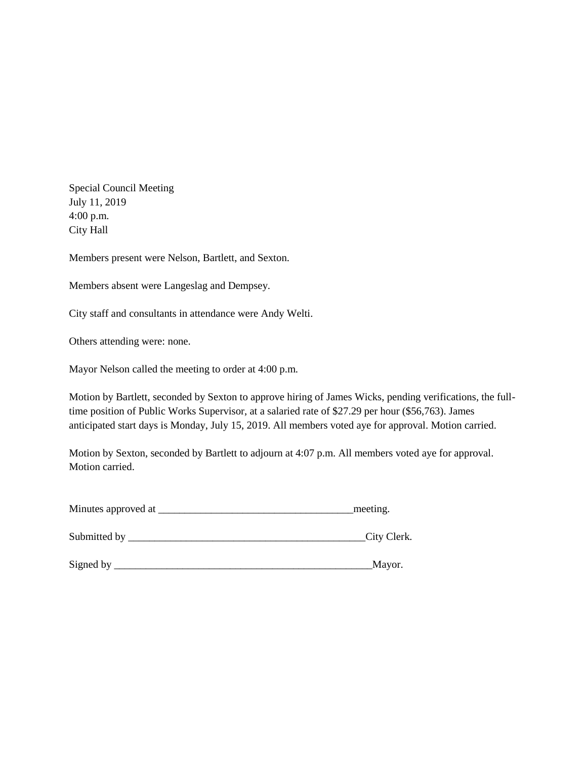Special Council Meeting July 11, 2019 4:00 p.m. City Hall

Members present were Nelson, Bartlett, and Sexton.

Members absent were Langeslag and Dempsey.

City staff and consultants in attendance were Andy Welti.

Others attending were: none.

Mayor Nelson called the meeting to order at 4:00 p.m.

Motion by Bartlett, seconded by Sexton to approve hiring of James Wicks, pending verifications, the fulltime position of Public Works Supervisor, at a salaried rate of \$27.29 per hour (\$56,763). James anticipated start days is Monday, July 15, 2019. All members voted aye for approval. Motion carried.

Motion by Sexton, seconded by Bartlett to adjourn at 4:07 p.m. All members voted aye for approval. Motion carried.

| Minutes approved at | meeting. |
|---------------------|----------|
|                     |          |

Submitted by \_\_\_\_\_\_\_\_\_\_\_\_\_\_\_\_\_\_\_\_\_\_\_\_\_\_\_\_\_\_\_\_\_\_\_\_\_\_\_\_\_\_\_\_\_City Clerk.

Signed by \_\_\_\_\_\_\_\_\_\_\_\_\_\_\_\_\_\_\_\_\_\_\_\_\_\_\_\_\_\_\_\_\_\_\_\_\_\_\_\_\_\_\_\_\_\_\_\_\_Mayor.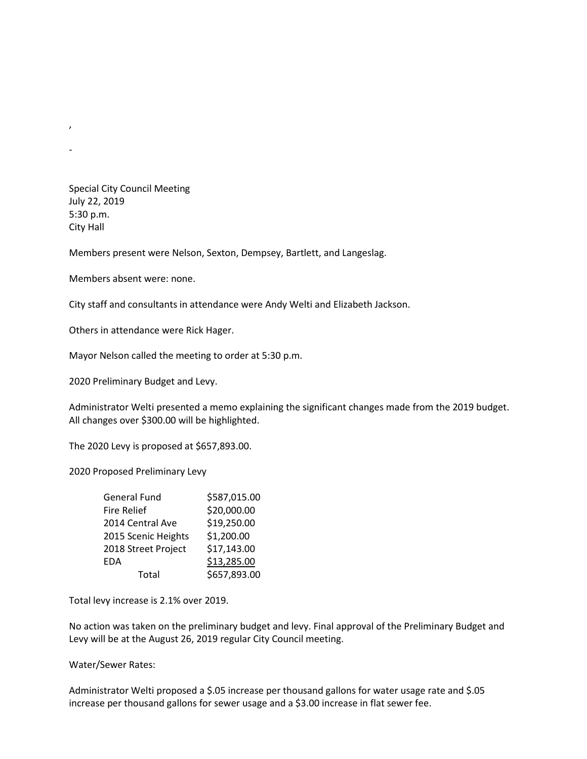Special City Council Meeting July 22, 2019 5:30 p.m. City Hall

 $\lambda$ 

-

Members present were Nelson, Sexton, Dempsey, Bartlett, and Langeslag.

Members absent were: none.

City staff and consultants in attendance were Andy Welti and Elizabeth Jackson.

Others in attendance were Rick Hager.

Mayor Nelson called the meeting to order at 5:30 p.m.

2020 Preliminary Budget and Levy.

Administrator Welti presented a memo explaining the significant changes made from the 2019 budget. All changes over \$300.00 will be highlighted.

The 2020 Levy is proposed at \$657,893.00.

2020 Proposed Preliminary Levy

| General Fund        | \$587,015.00 |
|---------------------|--------------|
| <b>Fire Relief</b>  | \$20,000.00  |
| 2014 Central Ave    | \$19,250.00  |
| 2015 Scenic Heights | \$1,200.00   |
| 2018 Street Project | \$17,143.00  |
| <b>EDA</b>          | \$13,285.00  |
| Total               | \$657,893.00 |

Total levy increase is 2.1% over 2019.

No action was taken on the preliminary budget and levy. Final approval of the Preliminary Budget and Levy will be at the August 26, 2019 regular City Council meeting.

Water/Sewer Rates:

Administrator Welti proposed a \$.05 increase per thousand gallons for water usage rate and \$.05 increase per thousand gallons for sewer usage and a \$3.00 increase in flat sewer fee.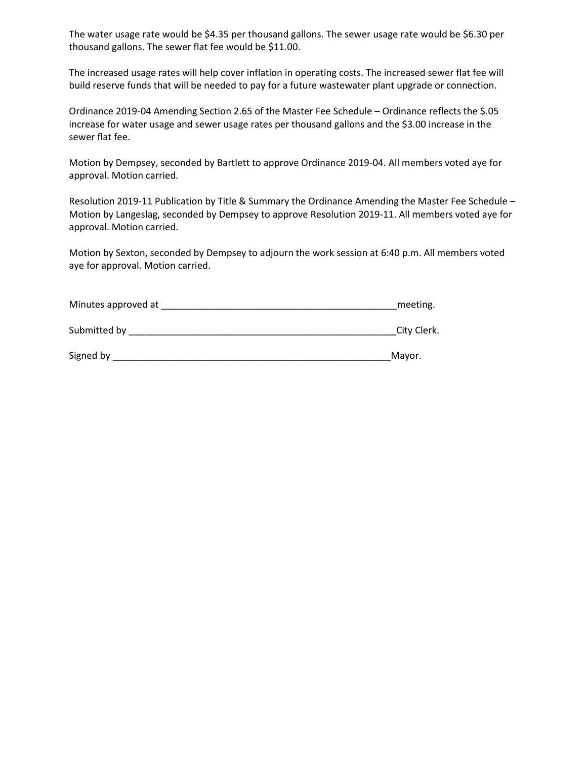The water usage rate would be \$4.35 per thousand gallons. The sewer usage rate would be \$6.30 per thousand gallons. The sewer flat fee would be \$11.00.

The increased usage rates will help cover inflation in operating costs. The increased sewer flat fee will build reserve funds that will be needed to pay for a future wastewater plant upgrade or connection.

Ordinance 2019-04 Amending Section 2.65 of the Master Fee Schedule – Ordinance reflects the \$.05 increase for water usage and sewer usage rates per thousand gallons and the \$3.00 increase in the sewer flat fee.

Motion by Dempsey, seconded by Bartlett to approve Ordinance 2019-04. All members voted aye for approval. Motion carried.

Resolution 2019-11 Publication by Title & Summary the Ordinance Amending the Master Fee Schedule – Motion by Langeslag, seconded by Dempsey to approve Resolution 2019-11. All members voted aye for approval. Motion carried.

Motion by Sexton, seconded by Dempsey to adjourn the work session at 6:40 p.m. All members voted aye for approval. Motion carried.

| Minutes approved at |  | meeting. |
|---------------------|--|----------|
|---------------------|--|----------|

Submitted by \_\_\_\_\_\_\_\_\_\_\_\_\_\_\_\_\_\_\_\_\_\_\_\_\_\_\_\_\_\_\_\_\_\_\_\_\_\_\_\_\_\_\_\_\_\_\_\_\_\_\_City Clerk.

| Signed by | iviavo |
|-----------|--------|
|-----------|--------|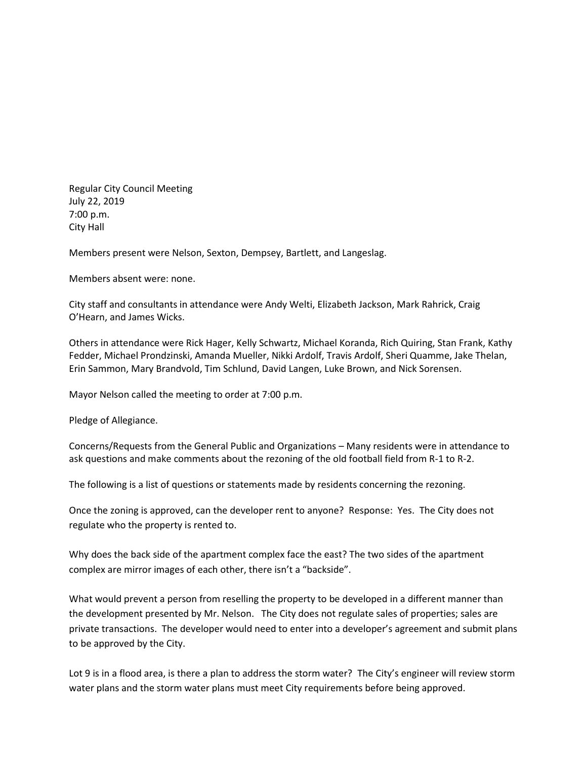Regular City Council Meeting July 22, 2019 7:00 p.m. City Hall

Members present were Nelson, Sexton, Dempsey, Bartlett, and Langeslag.

Members absent were: none.

City staff and consultants in attendance were Andy Welti, Elizabeth Jackson, Mark Rahrick, Craig O'Hearn, and James Wicks.

Others in attendance were Rick Hager, Kelly Schwartz, Michael Koranda, Rich Quiring, Stan Frank, Kathy Fedder, Michael Prondzinski, Amanda Mueller, Nikki Ardolf, Travis Ardolf, Sheri Quamme, Jake Thelan, Erin Sammon, Mary Brandvold, Tim Schlund, David Langen, Luke Brown, and Nick Sorensen.

Mayor Nelson called the meeting to order at 7:00 p.m.

Pledge of Allegiance.

Concerns/Requests from the General Public and Organizations – Many residents were in attendance to ask questions and make comments about the rezoning of the old football field from R-1 to R-2.

The following is a list of questions or statements made by residents concerning the rezoning.

Once the zoning is approved, can the developer rent to anyone? Response: Yes. The City does not regulate who the property is rented to.

Why does the back side of the apartment complex face the east? The two sides of the apartment complex are mirror images of each other, there isn't a "backside".

What would prevent a person from reselling the property to be developed in a different manner than the development presented by Mr. Nelson. The City does not regulate sales of properties; sales are private transactions. The developer would need to enter into a developer's agreement and submit plans to be approved by the City.

Lot 9 is in a flood area, is there a plan to address the storm water? The City's engineer will review storm water plans and the storm water plans must meet City requirements before being approved.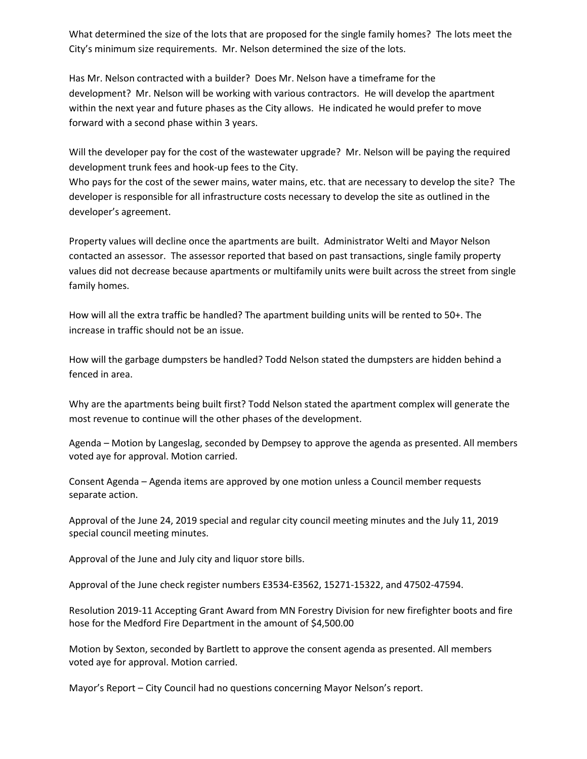What determined the size of the lots that are proposed for the single family homes? The lots meet the City's minimum size requirements. Mr. Nelson determined the size of the lots.

Has Mr. Nelson contracted with a builder? Does Mr. Nelson have a timeframe for the development? Mr. Nelson will be working with various contractors. He will develop the apartment within the next year and future phases as the City allows. He indicated he would prefer to move forward with a second phase within 3 years.

Will the developer pay for the cost of the wastewater upgrade? Mr. Nelson will be paying the required development trunk fees and hook-up fees to the City.

Who pays for the cost of the sewer mains, water mains, etc. that are necessary to develop the site? The developer is responsible for all infrastructure costs necessary to develop the site as outlined in the developer's agreement.

Property values will decline once the apartments are built. Administrator Welti and Mayor Nelson contacted an assessor. The assessor reported that based on past transactions, single family property values did not decrease because apartments or multifamily units were built across the street from single family homes.

How will all the extra traffic be handled? The apartment building units will be rented to 50+. The increase in traffic should not be an issue.

How will the garbage dumpsters be handled? Todd Nelson stated the dumpsters are hidden behind a fenced in area.

Why are the apartments being built first? Todd Nelson stated the apartment complex will generate the most revenue to continue will the other phases of the development.

Agenda – Motion by Langeslag, seconded by Dempsey to approve the agenda as presented. All members voted aye for approval. Motion carried.

Consent Agenda – Agenda items are approved by one motion unless a Council member requests separate action.

Approval of the June 24, 2019 special and regular city council meeting minutes and the July 11, 2019 special council meeting minutes.

Approval of the June and July city and liquor store bills.

Approval of the June check register numbers E3534-E3562, 15271-15322, and 47502-47594.

Resolution 2019-11 Accepting Grant Award from MN Forestry Division for new firefighter boots and fire hose for the Medford Fire Department in the amount of \$4,500.00

Motion by Sexton, seconded by Bartlett to approve the consent agenda as presented. All members voted aye for approval. Motion carried.

Mayor's Report – City Council had no questions concerning Mayor Nelson's report.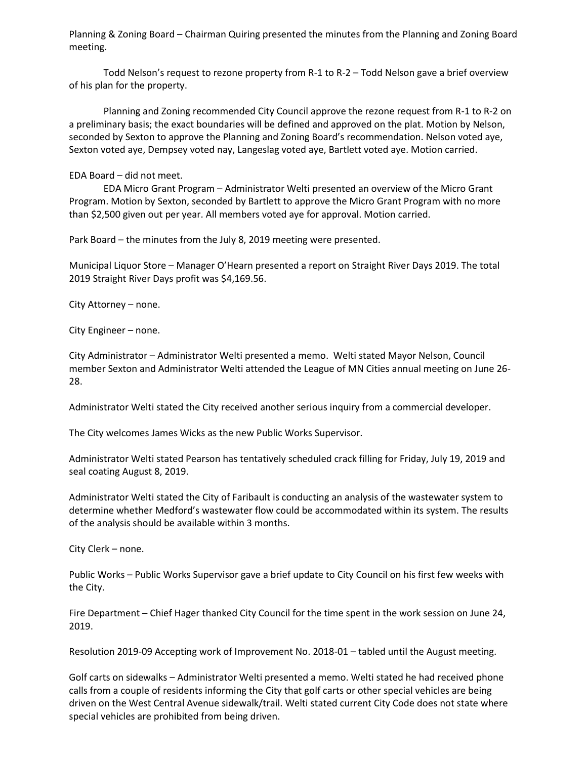Planning & Zoning Board – Chairman Quiring presented the minutes from the Planning and Zoning Board meeting.

Todd Nelson's request to rezone property from R-1 to R-2 – Todd Nelson gave a brief overview of his plan for the property.

Planning and Zoning recommended City Council approve the rezone request from R-1 to R-2 on a preliminary basis; the exact boundaries will be defined and approved on the plat. Motion by Nelson, seconded by Sexton to approve the Planning and Zoning Board's recommendation. Nelson voted aye, Sexton voted aye, Dempsey voted nay, Langeslag voted aye, Bartlett voted aye. Motion carried.

#### EDA Board – did not meet.

EDA Micro Grant Program – Administrator Welti presented an overview of the Micro Grant Program. Motion by Sexton, seconded by Bartlett to approve the Micro Grant Program with no more than \$2,500 given out per year. All members voted aye for approval. Motion carried.

Park Board – the minutes from the July 8, 2019 meeting were presented.

Municipal Liquor Store – Manager O'Hearn presented a report on Straight River Days 2019. The total 2019 Straight River Days profit was \$4,169.56.

City Attorney – none.

City Engineer – none.

City Administrator – Administrator Welti presented a memo. Welti stated Mayor Nelson, Council member Sexton and Administrator Welti attended the League of MN Cities annual meeting on June 26- 28.

Administrator Welti stated the City received another serious inquiry from a commercial developer.

The City welcomes James Wicks as the new Public Works Supervisor.

Administrator Welti stated Pearson has tentatively scheduled crack filling for Friday, July 19, 2019 and seal coating August 8, 2019.

Administrator Welti stated the City of Faribault is conducting an analysis of the wastewater system to determine whether Medford's wastewater flow could be accommodated within its system. The results of the analysis should be available within 3 months.

City Clerk – none.

Public Works – Public Works Supervisor gave a brief update to City Council on his first few weeks with the City.

Fire Department – Chief Hager thanked City Council for the time spent in the work session on June 24, 2019.

Resolution 2019-09 Accepting work of Improvement No. 2018-01 – tabled until the August meeting.

Golf carts on sidewalks – Administrator Welti presented a memo. Welti stated he had received phone calls from a couple of residents informing the City that golf carts or other special vehicles are being driven on the West Central Avenue sidewalk/trail. Welti stated current City Code does not state where special vehicles are prohibited from being driven.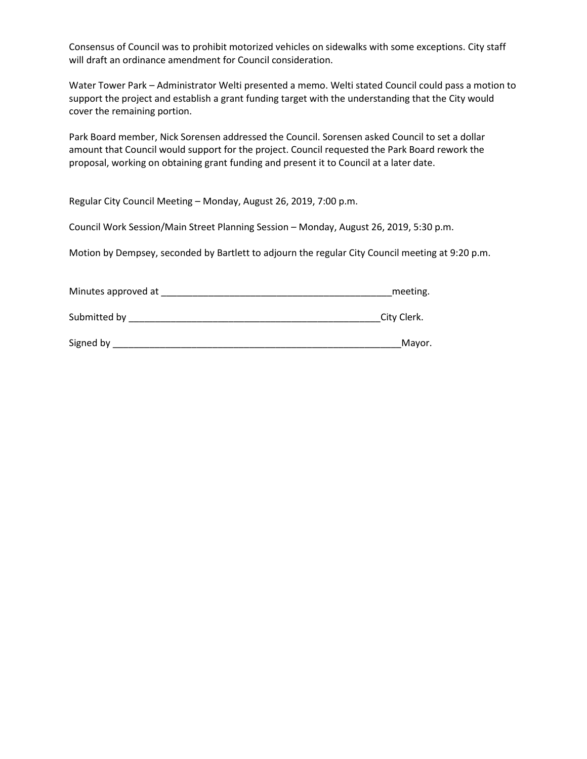Consensus of Council was to prohibit motorized vehicles on sidewalks with some exceptions. City staff will draft an ordinance amendment for Council consideration.

Water Tower Park – Administrator Welti presented a memo. Welti stated Council could pass a motion to support the project and establish a grant funding target with the understanding that the City would cover the remaining portion.

Park Board member, Nick Sorensen addressed the Council. Sorensen asked Council to set a dollar amount that Council would support for the project. Council requested the Park Board rework the proposal, working on obtaining grant funding and present it to Council at a later date.

Regular City Council Meeting – Monday, August 26, 2019, 7:00 p.m.

Council Work Session/Main Street Planning Session – Monday, August 26, 2019, 5:30 p.m.

Motion by Dempsey, seconded by Bartlett to adjourn the regular City Council meeting at 9:20 p.m.

| Minutes approved at | meeting. |
|---------------------|----------|
|                     |          |

Submitted by **Example 20** Submitted by **Example 20** Submitted by **Example 20** Submitted by **Example 20** Submitted by **Example 20** Submitted by **Example 20** Submitted by **Example 20** Submitted by **Example 20** Submitted by

| Signed by | Mavo |
|-----------|------|
|           |      |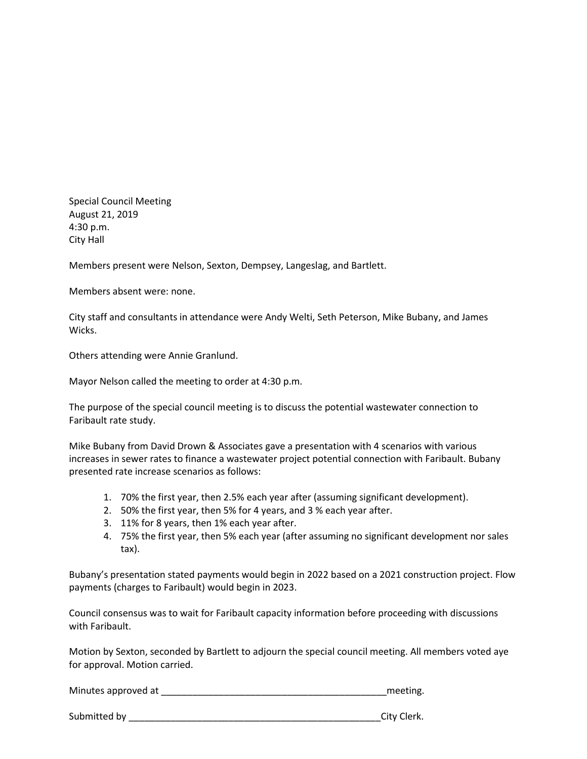Special Council Meeting August 21, 2019 4:30 p.m. City Hall

Members present were Nelson, Sexton, Dempsey, Langeslag, and Bartlett.

Members absent were: none.

City staff and consultants in attendance were Andy Welti, Seth Peterson, Mike Bubany, and James Wicks.

Others attending were Annie Granlund.

Mayor Nelson called the meeting to order at 4:30 p.m.

The purpose of the special council meeting is to discuss the potential wastewater connection to Faribault rate study.

Mike Bubany from David Drown & Associates gave a presentation with 4 scenarios with various increases in sewer rates to finance a wastewater project potential connection with Faribault. Bubany presented rate increase scenarios as follows:

- 1. 70% the first year, then 2.5% each year after (assuming significant development).
- 2. 50% the first year, then 5% for 4 years, and 3 % each year after.
- 3. 11% for 8 years, then 1% each year after.
- 4. 75% the first year, then 5% each year (after assuming no significant development nor sales tax).

Bubany's presentation stated payments would begin in 2022 based on a 2021 construction project. Flow payments (charges to Faribault) would begin in 2023.

Council consensus was to wait for Faribault capacity information before proceeding with discussions with Faribault.

Motion by Sexton, seconded by Bartlett to adjourn the special council meeting. All members voted aye for approval. Motion carried.

Minutes approved at \_\_\_\_\_\_\_\_\_\_\_\_\_\_\_\_\_\_\_\_\_\_\_\_\_\_\_\_\_\_\_\_\_\_\_\_\_\_\_\_\_\_\_meeting.

Submitted by **EXECUTE:** City Clerk.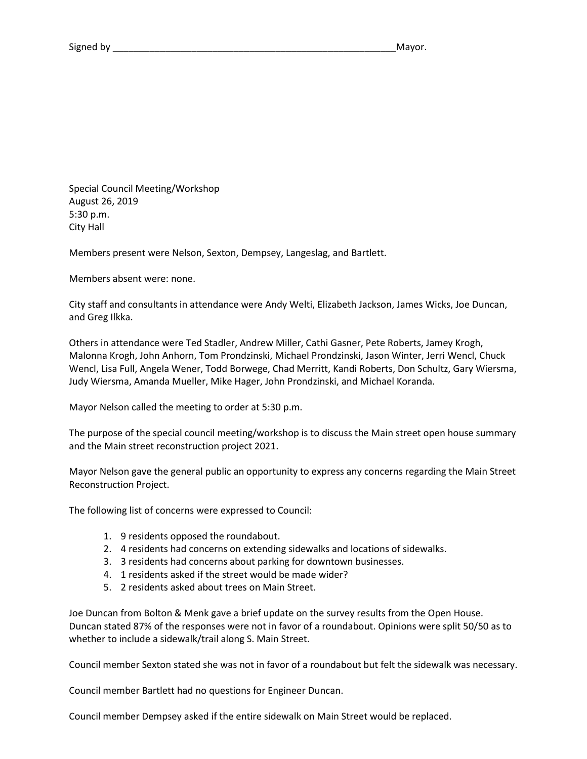Special Council Meeting/Workshop August 26, 2019 5:30 p.m. City Hall

Members present were Nelson, Sexton, Dempsey, Langeslag, and Bartlett.

Members absent were: none.

City staff and consultants in attendance were Andy Welti, Elizabeth Jackson, James Wicks, Joe Duncan, and Greg Ilkka.

Others in attendance were Ted Stadler, Andrew Miller, Cathi Gasner, Pete Roberts, Jamey Krogh, Malonna Krogh, John Anhorn, Tom Prondzinski, Michael Prondzinski, Jason Winter, Jerri Wencl, Chuck Wencl, Lisa Full, Angela Wener, Todd Borwege, Chad Merritt, Kandi Roberts, Don Schultz, Gary Wiersma, Judy Wiersma, Amanda Mueller, Mike Hager, John Prondzinski, and Michael Koranda.

Mayor Nelson called the meeting to order at 5:30 p.m.

The purpose of the special council meeting/workshop is to discuss the Main street open house summary and the Main street reconstruction project 2021.

Mayor Nelson gave the general public an opportunity to express any concerns regarding the Main Street Reconstruction Project.

The following list of concerns were expressed to Council:

- 1. 9 residents opposed the roundabout.
- 2. 4 residents had concerns on extending sidewalks and locations of sidewalks.
- 3. 3 residents had concerns about parking for downtown businesses.
- 4. 1 residents asked if the street would be made wider?
- 5. 2 residents asked about trees on Main Street.

Joe Duncan from Bolton & Menk gave a brief update on the survey results from the Open House. Duncan stated 87% of the responses were not in favor of a roundabout. Opinions were split 50/50 as to whether to include a sidewalk/trail along S. Main Street.

Council member Sexton stated she was not in favor of a roundabout but felt the sidewalk was necessary.

Council member Bartlett had no questions for Engineer Duncan.

Council member Dempsey asked if the entire sidewalk on Main Street would be replaced.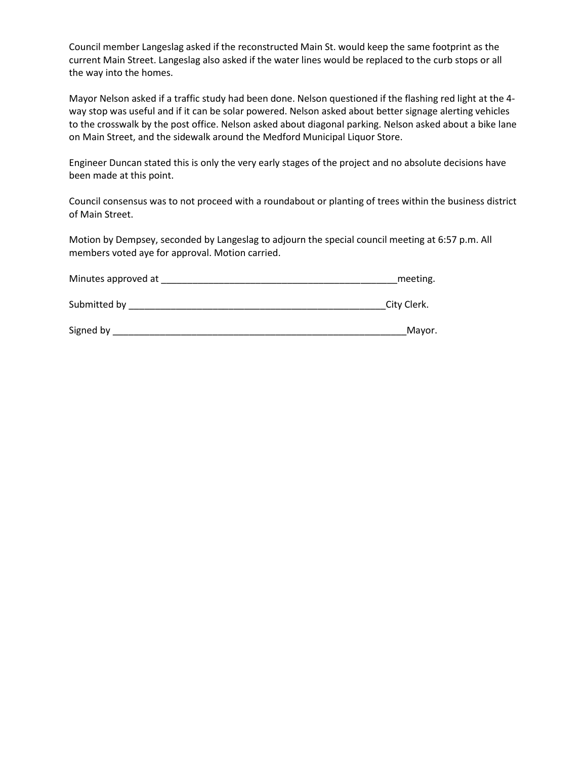Council member Langeslag asked if the reconstructed Main St. would keep the same footprint as the current Main Street. Langeslag also asked if the water lines would be replaced to the curb stops or all the way into the homes.

Mayor Nelson asked if a traffic study had been done. Nelson questioned if the flashing red light at the 4 way stop was useful and if it can be solar powered. Nelson asked about better signage alerting vehicles to the crosswalk by the post office. Nelson asked about diagonal parking. Nelson asked about a bike lane on Main Street, and the sidewalk around the Medford Municipal Liquor Store.

Engineer Duncan stated this is only the very early stages of the project and no absolute decisions have been made at this point.

Council consensus was to not proceed with a roundabout or planting of trees within the business district of Main Street.

Motion by Dempsey, seconded by Langeslag to adjourn the special council meeting at 6:57 p.m. All members voted aye for approval. Motion carried.

| Minutes approved at |  | meeting. |
|---------------------|--|----------|
|---------------------|--|----------|

Submitted by \_\_\_\_\_\_\_\_\_\_\_\_\_\_\_\_\_\_\_\_\_\_\_\_\_\_\_\_\_\_\_\_\_\_\_\_\_\_\_\_\_\_\_\_\_\_\_\_\_City Clerk.

Signed by \_\_\_\_\_\_\_\_\_\_\_\_\_\_\_\_\_\_\_\_\_\_\_\_\_\_\_\_\_\_\_\_\_\_\_\_\_\_\_\_\_\_\_\_\_\_\_\_\_\_\_\_\_\_\_\_Mayor.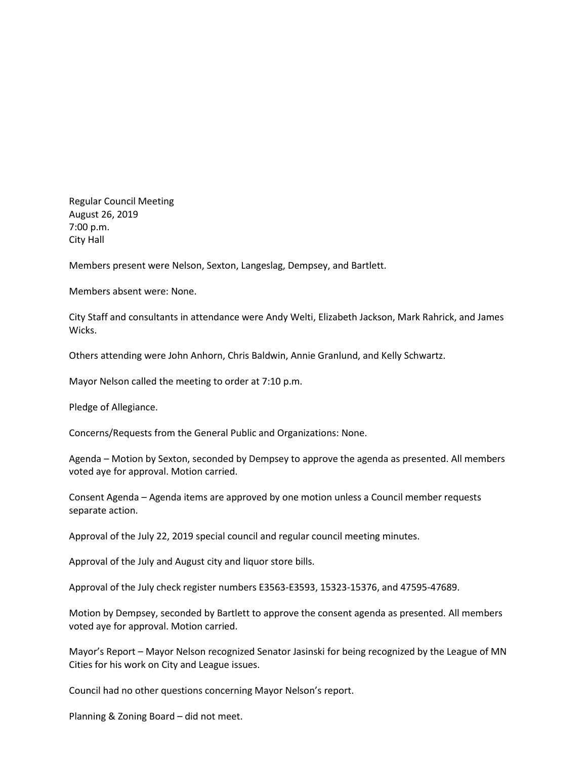Regular Council Meeting August 26, 2019 7:00 p.m. City Hall

Members present were Nelson, Sexton, Langeslag, Dempsey, and Bartlett.

Members absent were: None.

City Staff and consultants in attendance were Andy Welti, Elizabeth Jackson, Mark Rahrick, and James Wicks.

Others attending were John Anhorn, Chris Baldwin, Annie Granlund, and Kelly Schwartz.

Mayor Nelson called the meeting to order at 7:10 p.m.

Pledge of Allegiance.

Concerns/Requests from the General Public and Organizations: None.

Agenda – Motion by Sexton, seconded by Dempsey to approve the agenda as presented. All members voted aye for approval. Motion carried.

Consent Agenda – Agenda items are approved by one motion unless a Council member requests separate action.

Approval of the July 22, 2019 special council and regular council meeting minutes.

Approval of the July and August city and liquor store bills.

Approval of the July check register numbers E3563-E3593, 15323-15376, and 47595-47689.

Motion by Dempsey, seconded by Bartlett to approve the consent agenda as presented. All members voted aye for approval. Motion carried.

Mayor's Report – Mayor Nelson recognized Senator Jasinski for being recognized by the League of MN Cities for his work on City and League issues.

Council had no other questions concerning Mayor Nelson's report.

Planning & Zoning Board – did not meet.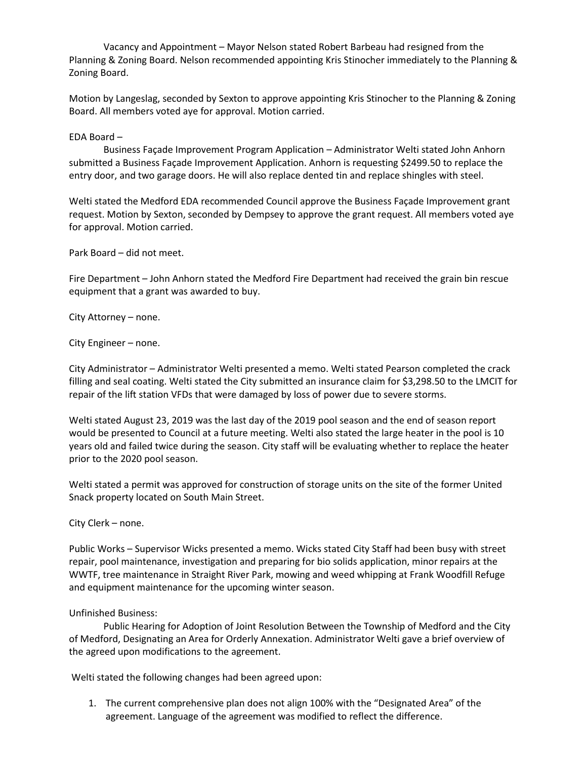Vacancy and Appointment – Mayor Nelson stated Robert Barbeau had resigned from the Planning & Zoning Board. Nelson recommended appointing Kris Stinocher immediately to the Planning & Zoning Board.

Motion by Langeslag, seconded by Sexton to approve appointing Kris Stinocher to the Planning & Zoning Board. All members voted aye for approval. Motion carried.

#### EDA Board –

Business Façade Improvement Program Application – Administrator Welti stated John Anhorn submitted a Business Façade Improvement Application. Anhorn is requesting \$2499.50 to replace the entry door, and two garage doors. He will also replace dented tin and replace shingles with steel.

Welti stated the Medford EDA recommended Council approve the Business Façade Improvement grant request. Motion by Sexton, seconded by Dempsey to approve the grant request. All members voted aye for approval. Motion carried.

Park Board – did not meet.

Fire Department – John Anhorn stated the Medford Fire Department had received the grain bin rescue equipment that a grant was awarded to buy.

City Attorney – none.

City Engineer – none.

City Administrator – Administrator Welti presented a memo. Welti stated Pearson completed the crack filling and seal coating. Welti stated the City submitted an insurance claim for \$3,298.50 to the LMCIT for repair of the lift station VFDs that were damaged by loss of power due to severe storms.

Welti stated August 23, 2019 was the last day of the 2019 pool season and the end of season report would be presented to Council at a future meeting. Welti also stated the large heater in the pool is 10 years old and failed twice during the season. City staff will be evaluating whether to replace the heater prior to the 2020 pool season.

Welti stated a permit was approved for construction of storage units on the site of the former United Snack property located on South Main Street.

City Clerk – none.

Public Works – Supervisor Wicks presented a memo. Wicks stated City Staff had been busy with street repair, pool maintenance, investigation and preparing for bio solids application, minor repairs at the WWTF, tree maintenance in Straight River Park, mowing and weed whipping at Frank Woodfill Refuge and equipment maintenance for the upcoming winter season.

### Unfinished Business:

Public Hearing for Adoption of Joint Resolution Between the Township of Medford and the City of Medford, Designating an Area for Orderly Annexation. Administrator Welti gave a brief overview of the agreed upon modifications to the agreement.

Welti stated the following changes had been agreed upon:

1. The current comprehensive plan does not align 100% with the "Designated Area" of the agreement. Language of the agreement was modified to reflect the difference.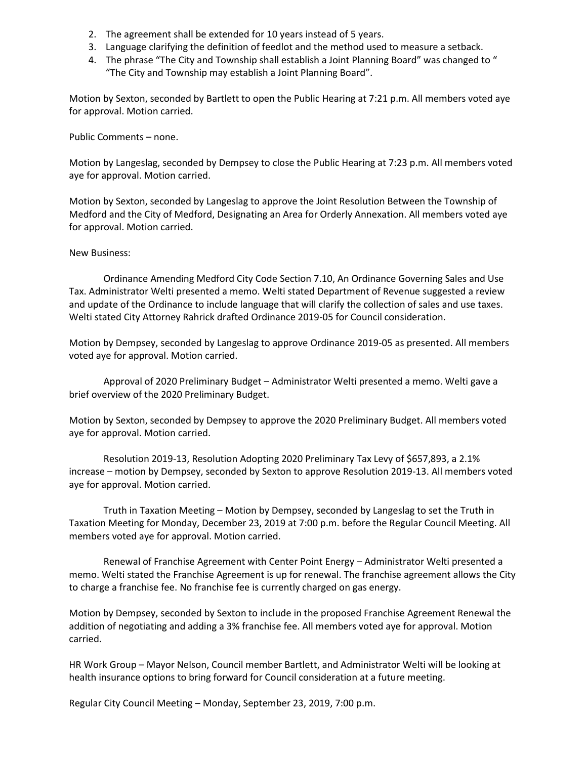- 2. The agreement shall be extended for 10 years instead of 5 years.
- 3. Language clarifying the definition of feedlot and the method used to measure a setback.
- 4. The phrase "The City and Township shall establish a Joint Planning Board" was changed to " "The City and Township may establish a Joint Planning Board".

Motion by Sexton, seconded by Bartlett to open the Public Hearing at 7:21 p.m. All members voted aye for approval. Motion carried.

Public Comments – none.

Motion by Langeslag, seconded by Dempsey to close the Public Hearing at 7:23 p.m. All members voted aye for approval. Motion carried.

Motion by Sexton, seconded by Langeslag to approve the Joint Resolution Between the Township of Medford and the City of Medford, Designating an Area for Orderly Annexation. All members voted aye for approval. Motion carried.

## New Business:

Ordinance Amending Medford City Code Section 7.10, An Ordinance Governing Sales and Use Tax. Administrator Welti presented a memo. Welti stated Department of Revenue suggested a review and update of the Ordinance to include language that will clarify the collection of sales and use taxes. Welti stated City Attorney Rahrick drafted Ordinance 2019-05 for Council consideration.

Motion by Dempsey, seconded by Langeslag to approve Ordinance 2019-05 as presented. All members voted aye for approval. Motion carried.

Approval of 2020 Preliminary Budget – Administrator Welti presented a memo. Welti gave a brief overview of the 2020 Preliminary Budget.

Motion by Sexton, seconded by Dempsey to approve the 2020 Preliminary Budget. All members voted aye for approval. Motion carried.

Resolution 2019-13, Resolution Adopting 2020 Preliminary Tax Levy of \$657,893, a 2.1% increase – motion by Dempsey, seconded by Sexton to approve Resolution 2019-13. All members voted aye for approval. Motion carried.

Truth in Taxation Meeting – Motion by Dempsey, seconded by Langeslag to set the Truth in Taxation Meeting for Monday, December 23, 2019 at 7:00 p.m. before the Regular Council Meeting. All members voted aye for approval. Motion carried.

Renewal of Franchise Agreement with Center Point Energy – Administrator Welti presented a memo. Welti stated the Franchise Agreement is up for renewal. The franchise agreement allows the City to charge a franchise fee. No franchise fee is currently charged on gas energy.

Motion by Dempsey, seconded by Sexton to include in the proposed Franchise Agreement Renewal the addition of negotiating and adding a 3% franchise fee. All members voted aye for approval. Motion carried.

HR Work Group – Mayor Nelson, Council member Bartlett, and Administrator Welti will be looking at health insurance options to bring forward for Council consideration at a future meeting.

Regular City Council Meeting – Monday, September 23, 2019, 7:00 p.m.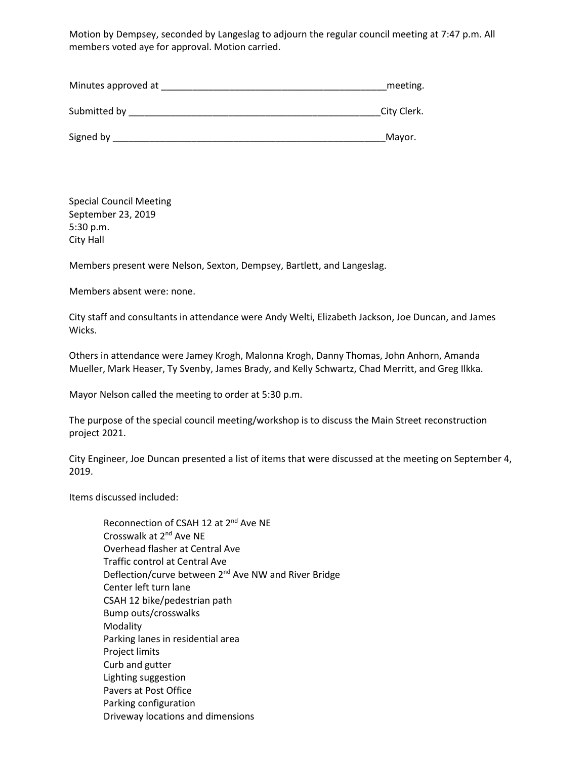Motion by Dempsey, seconded by Langeslag to adjourn the regular council meeting at 7:47 p.m. All members voted aye for approval. Motion carried.

| Minutes approved at | meeting.    |
|---------------------|-------------|
| Submitted by        | City Clerk. |
| Signed by           | Mayor.      |

Special Council Meeting September 23, 2019 5:30 p.m. City Hall

Members present were Nelson, Sexton, Dempsey, Bartlett, and Langeslag.

Members absent were: none.

City staff and consultants in attendance were Andy Welti, Elizabeth Jackson, Joe Duncan, and James Wicks.

Others in attendance were Jamey Krogh, Malonna Krogh, Danny Thomas, John Anhorn, Amanda Mueller, Mark Heaser, Ty Svenby, James Brady, and Kelly Schwartz, Chad Merritt, and Greg Ilkka.

Mayor Nelson called the meeting to order at 5:30 p.m.

The purpose of the special council meeting/workshop is to discuss the Main Street reconstruction project 2021.

City Engineer, Joe Duncan presented a list of items that were discussed at the meeting on September 4, 2019.

Items discussed included:

| Reconnection of CSAH 12 at 2 <sup>nd</sup> Ave NE                |
|------------------------------------------------------------------|
| Crosswalk at 2 <sup>nd</sup> Ave NE                              |
| Overhead flasher at Central Ave                                  |
| Traffic control at Central Ave                                   |
| Deflection/curve between 2 <sup>nd</sup> Ave NW and River Bridge |
| Center left turn lane                                            |
| CSAH 12 bike/pedestrian path                                     |
| Bump outs/crosswalks                                             |
| Modality                                                         |
| Parking lanes in residential area                                |
| Project limits                                                   |
| Curb and gutter                                                  |
| Lighting suggestion                                              |
| Pavers at Post Office                                            |
| Parking configuration                                            |
| Driveway locations and dimensions                                |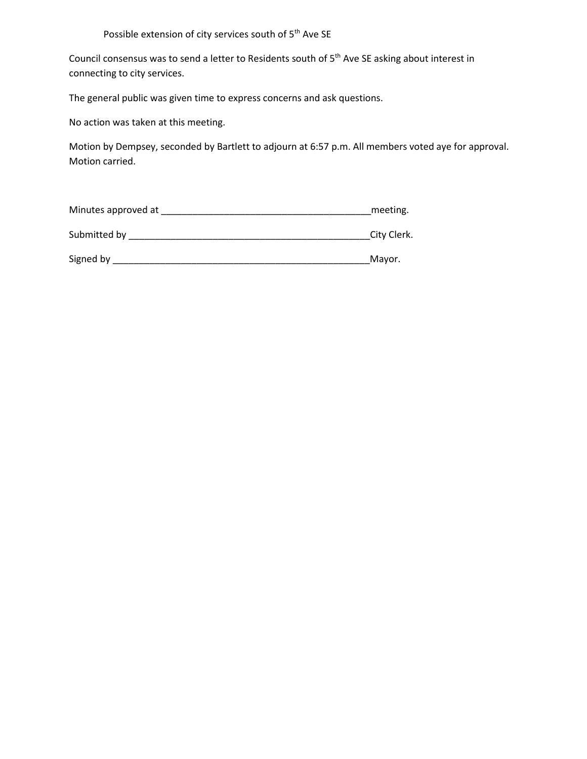# Possible extension of city services south of 5<sup>th</sup> Ave SE

Council consensus was to send a letter to Residents south of 5<sup>th</sup> Ave SE asking about interest in connecting to city services.

The general public was given time to express concerns and ask questions.

No action was taken at this meeting.

Motion by Dempsey, seconded by Bartlett to adjourn at 6:57 p.m. All members voted aye for approval. Motion carried.

| Minutes approved at | meeting.    |
|---------------------|-------------|
| Submitted by        | City Clerk. |
| Signed by           | Mayor.      |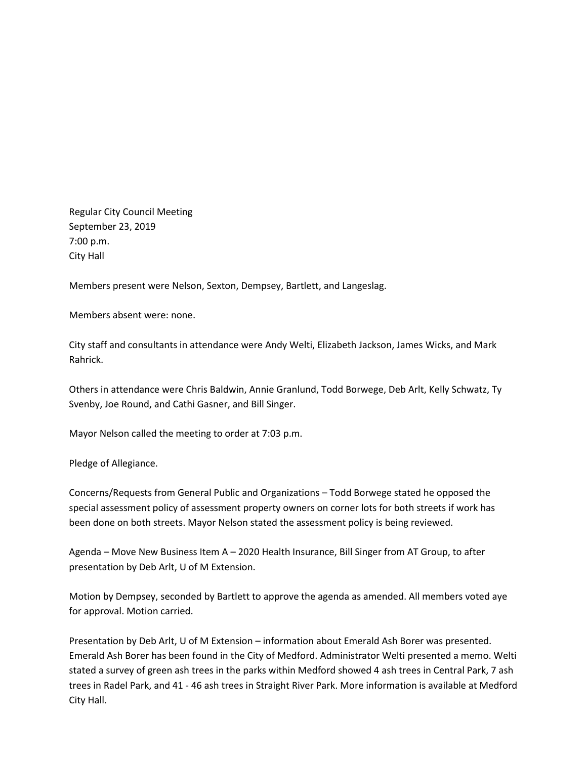Regular City Council Meeting September 23, 2019 7:00 p.m. City Hall

Members present were Nelson, Sexton, Dempsey, Bartlett, and Langeslag.

Members absent were: none.

City staff and consultants in attendance were Andy Welti, Elizabeth Jackson, James Wicks, and Mark Rahrick.

Others in attendance were Chris Baldwin, Annie Granlund, Todd Borwege, Deb Arlt, Kelly Schwatz, Ty Svenby, Joe Round, and Cathi Gasner, and Bill Singer.

Mayor Nelson called the meeting to order at 7:03 p.m.

Pledge of Allegiance.

Concerns/Requests from General Public and Organizations – Todd Borwege stated he opposed the special assessment policy of assessment property owners on corner lots for both streets if work has been done on both streets. Mayor Nelson stated the assessment policy is being reviewed.

Agenda – Move New Business Item A – 2020 Health Insurance, Bill Singer from AT Group, to after presentation by Deb Arlt, U of M Extension.

Motion by Dempsey, seconded by Bartlett to approve the agenda as amended. All members voted aye for approval. Motion carried.

Presentation by Deb Arlt, U of M Extension – information about Emerald Ash Borer was presented. Emerald Ash Borer has been found in the City of Medford. Administrator Welti presented a memo. Welti stated a survey of green ash trees in the parks within Medford showed 4 ash trees in Central Park, 7 ash trees in Radel Park, and 41 - 46 ash trees in Straight River Park. More information is available at Medford City Hall.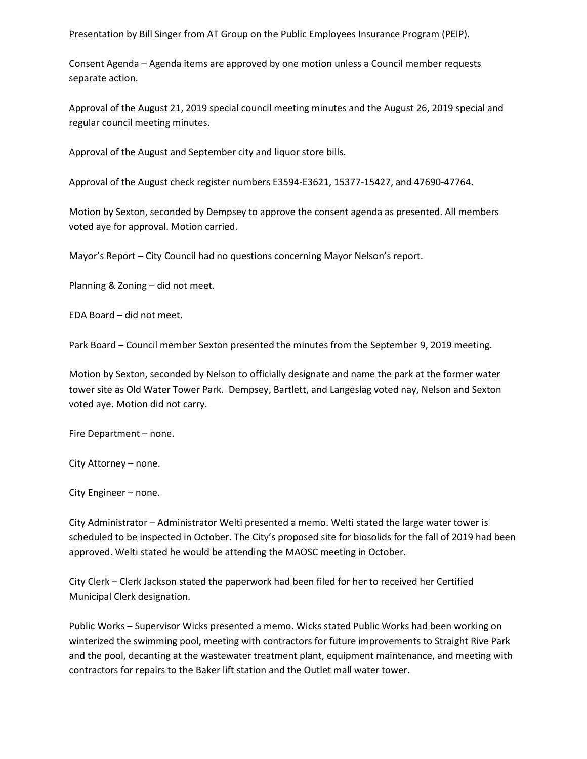Presentation by Bill Singer from AT Group on the Public Employees Insurance Program (PEIP).

Consent Agenda – Agenda items are approved by one motion unless a Council member requests separate action.

Approval of the August 21, 2019 special council meeting minutes and the August 26, 2019 special and regular council meeting minutes.

Approval of the August and September city and liquor store bills.

Approval of the August check register numbers E3594-E3621, 15377-15427, and 47690-47764.

Motion by Sexton, seconded by Dempsey to approve the consent agenda as presented. All members voted aye for approval. Motion carried.

Mayor's Report – City Council had no questions concerning Mayor Nelson's report.

Planning & Zoning – did not meet.

EDA Board – did not meet.

Park Board – Council member Sexton presented the minutes from the September 9, 2019 meeting.

Motion by Sexton, seconded by Nelson to officially designate and name the park at the former water tower site as Old Water Tower Park. Dempsey, Bartlett, and Langeslag voted nay, Nelson and Sexton voted aye. Motion did not carry.

Fire Department – none.

City Attorney – none.

City Engineer – none.

City Administrator – Administrator Welti presented a memo. Welti stated the large water tower is scheduled to be inspected in October. The City's proposed site for biosolids for the fall of 2019 had been approved. Welti stated he would be attending the MAOSC meeting in October.

City Clerk – Clerk Jackson stated the paperwork had been filed for her to received her Certified Municipal Clerk designation.

Public Works – Supervisor Wicks presented a memo. Wicks stated Public Works had been working on winterized the swimming pool, meeting with contractors for future improvements to Straight Rive Park and the pool, decanting at the wastewater treatment plant, equipment maintenance, and meeting with contractors for repairs to the Baker lift station and the Outlet mall water tower.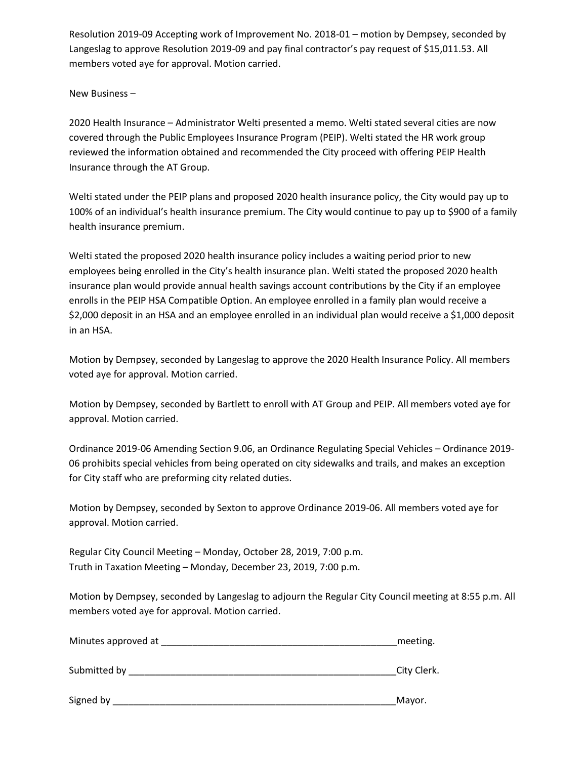Resolution 2019-09 Accepting work of Improvement No. 2018-01 – motion by Dempsey, seconded by Langeslag to approve Resolution 2019-09 and pay final contractor's pay request of \$15,011.53. All members voted aye for approval. Motion carried.

## New Business –

2020 Health Insurance – Administrator Welti presented a memo. Welti stated several cities are now covered through the Public Employees Insurance Program (PEIP). Welti stated the HR work group reviewed the information obtained and recommended the City proceed with offering PEIP Health Insurance through the AT Group.

Welti stated under the PEIP plans and proposed 2020 health insurance policy, the City would pay up to 100% of an individual's health insurance premium. The City would continue to pay up to \$900 of a family health insurance premium.

Welti stated the proposed 2020 health insurance policy includes a waiting period prior to new employees being enrolled in the City's health insurance plan. Welti stated the proposed 2020 health insurance plan would provide annual health savings account contributions by the City if an employee enrolls in the PEIP HSA Compatible Option. An employee enrolled in a family plan would receive a \$2,000 deposit in an HSA and an employee enrolled in an individual plan would receive a \$1,000 deposit in an HSA.

Motion by Dempsey, seconded by Langeslag to approve the 2020 Health Insurance Policy. All members voted aye for approval. Motion carried.

Motion by Dempsey, seconded by Bartlett to enroll with AT Group and PEIP. All members voted aye for approval. Motion carried.

Ordinance 2019-06 Amending Section 9.06, an Ordinance Regulating Special Vehicles – Ordinance 2019- 06 prohibits special vehicles from being operated on city sidewalks and trails, and makes an exception for City staff who are preforming city related duties.

Motion by Dempsey, seconded by Sexton to approve Ordinance 2019-06. All members voted aye for approval. Motion carried.

Regular City Council Meeting – Monday, October 28, 2019, 7:00 p.m. Truth in Taxation Meeting – Monday, December 23, 2019, 7:00 p.m.

Motion by Dempsey, seconded by Langeslag to adjourn the Regular City Council meeting at 8:55 p.m. All members voted aye for approval. Motion carried.

| Minutes approved at |  | meeting. |
|---------------------|--|----------|
|---------------------|--|----------|

Submitted by \_\_\_\_\_\_\_\_\_\_\_\_\_\_\_\_\_\_\_\_\_\_\_\_\_\_\_\_\_\_\_\_\_\_\_\_\_\_\_\_\_\_\_\_\_\_\_\_\_\_\_City Clerk.

Signed by \_\_\_\_\_\_\_\_\_\_\_\_\_\_\_\_\_\_\_\_\_\_\_\_\_\_\_\_\_\_\_\_\_\_\_\_\_\_\_\_\_\_\_\_\_\_\_\_\_\_\_\_\_\_Mayor.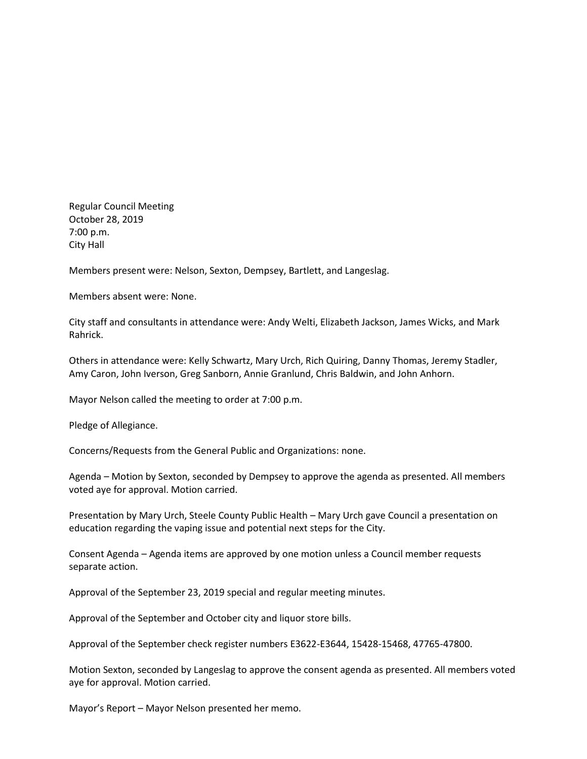Regular Council Meeting October 28, 2019 7:00 p.m. City Hall

Members present were: Nelson, Sexton, Dempsey, Bartlett, and Langeslag.

Members absent were: None.

City staff and consultants in attendance were: Andy Welti, Elizabeth Jackson, James Wicks, and Mark Rahrick.

Others in attendance were: Kelly Schwartz, Mary Urch, Rich Quiring, Danny Thomas, Jeremy Stadler, Amy Caron, John Iverson, Greg Sanborn, Annie Granlund, Chris Baldwin, and John Anhorn.

Mayor Nelson called the meeting to order at 7:00 p.m.

Pledge of Allegiance.

Concerns/Requests from the General Public and Organizations: none.

Agenda – Motion by Sexton, seconded by Dempsey to approve the agenda as presented. All members voted aye for approval. Motion carried.

Presentation by Mary Urch, Steele County Public Health – Mary Urch gave Council a presentation on education regarding the vaping issue and potential next steps for the City.

Consent Agenda – Agenda items are approved by one motion unless a Council member requests separate action.

Approval of the September 23, 2019 special and regular meeting minutes.

Approval of the September and October city and liquor store bills.

Approval of the September check register numbers E3622-E3644, 15428-15468, 47765-47800.

Motion Sexton, seconded by Langeslag to approve the consent agenda as presented. All members voted aye for approval. Motion carried.

Mayor's Report – Mayor Nelson presented her memo.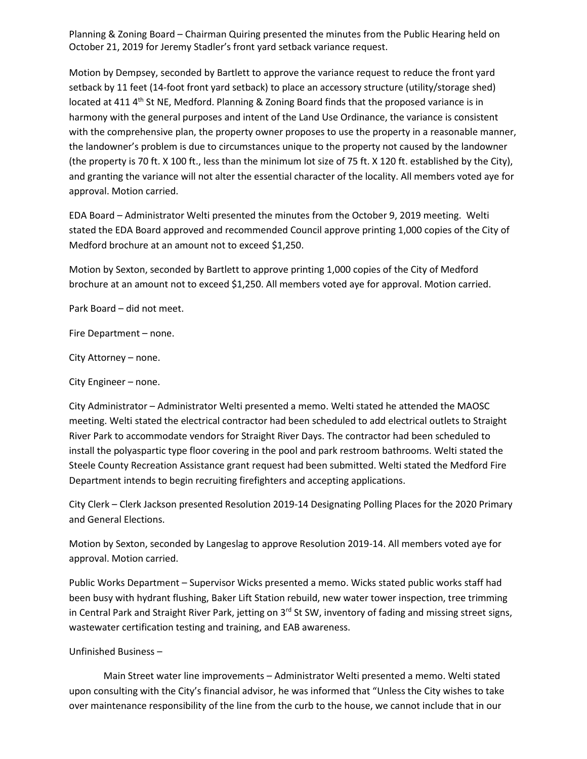Planning & Zoning Board – Chairman Quiring presented the minutes from the Public Hearing held on October 21, 2019 for Jeremy Stadler's front yard setback variance request.

Motion by Dempsey, seconded by Bartlett to approve the variance request to reduce the front yard setback by 11 feet (14-foot front yard setback) to place an accessory structure (utility/storage shed) located at 411 4<sup>th</sup> St NE, Medford. Planning & Zoning Board finds that the proposed variance is in harmony with the general purposes and intent of the Land Use Ordinance, the variance is consistent with the comprehensive plan, the property owner proposes to use the property in a reasonable manner, the landowner's problem is due to circumstances unique to the property not caused by the landowner (the property is 70 ft. X 100 ft., less than the minimum lot size of 75 ft. X 120 ft. established by the City), and granting the variance will not alter the essential character of the locality. All members voted aye for approval. Motion carried.

EDA Board – Administrator Welti presented the minutes from the October 9, 2019 meeting. Welti stated the EDA Board approved and recommended Council approve printing 1,000 copies of the City of Medford brochure at an amount not to exceed \$1,250.

Motion by Sexton, seconded by Bartlett to approve printing 1,000 copies of the City of Medford brochure at an amount not to exceed \$1,250. All members voted aye for approval. Motion carried.

Park Board – did not meet.

Fire Department – none.

City Attorney – none.

City Engineer – none.

City Administrator – Administrator Welti presented a memo. Welti stated he attended the MAOSC meeting. Welti stated the electrical contractor had been scheduled to add electrical outlets to Straight River Park to accommodate vendors for Straight River Days. The contractor had been scheduled to install the polyaspartic type floor covering in the pool and park restroom bathrooms. Welti stated the Steele County Recreation Assistance grant request had been submitted. Welti stated the Medford Fire Department intends to begin recruiting firefighters and accepting applications.

City Clerk – Clerk Jackson presented Resolution 2019-14 Designating Polling Places for the 2020 Primary and General Elections.

Motion by Sexton, seconded by Langeslag to approve Resolution 2019-14. All members voted aye for approval. Motion carried.

Public Works Department – Supervisor Wicks presented a memo. Wicks stated public works staff had been busy with hydrant flushing, Baker Lift Station rebuild, new water tower inspection, tree trimming in Central Park and Straight River Park, jetting on 3<sup>rd</sup> St SW, inventory of fading and missing street signs, wastewater certification testing and training, and EAB awareness.

Unfinished Business –

Main Street water line improvements – Administrator Welti presented a memo. Welti stated upon consulting with the City's financial advisor, he was informed that "Unless the City wishes to take over maintenance responsibility of the line from the curb to the house, we cannot include that in our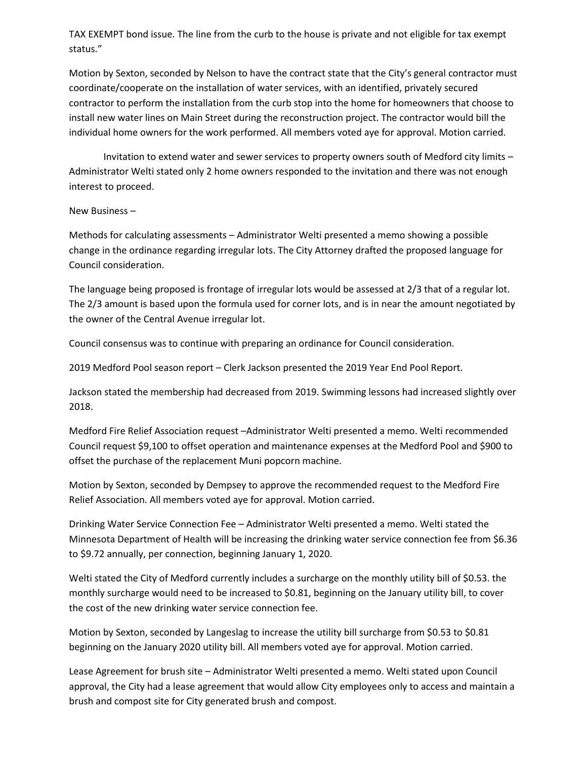TAX EXEMPT bond issue. The line from the curb to the house is private and not eligible for tax exempt status."

Motion by Sexton, seconded by Nelson to have the contract state that the City's general contractor must coordinate/cooperate on the installation of water services, with an identified, privately secured contractor to perform the installation from the curb stop into the home for homeowners that choose to install new water lines on Main Street during the reconstruction project. The contractor would bill the individual home owners for the work performed. All members voted aye for approval. Motion carried.

Invitation to extend water and sewer services to property owners south of Medford city limits – Administrator Welti stated only 2 home owners responded to the invitation and there was not enough interest to proceed.

#### New Business –

Methods for calculating assessments – Administrator Welti presented a memo showing a possible change in the ordinance regarding irregular lots. The City Attorney drafted the proposed language for Council consideration.

The language being proposed is frontage of irregular lots would be assessed at 2/3 that of a regular lot. The 2/3 amount is based upon the formula used for corner lots, and is in near the amount negotiated by the owner of the Central Avenue irregular lot.

Council consensus was to continue with preparing an ordinance for Council consideration.

2019 Medford Pool season report – Clerk Jackson presented the 2019 Year End Pool Report.

Jackson stated the membership had decreased from 2019. Swimming lessons had increased slightly over 2018.

Medford Fire Relief Association request –Administrator Welti presented a memo. Welti recommended Council request \$9,100 to offset operation and maintenance expenses at the Medford Pool and \$900 to offset the purchase of the replacement Muni popcorn machine.

Motion by Sexton, seconded by Dempsey to approve the recommended request to the Medford Fire Relief Association. All members voted aye for approval. Motion carried.

Drinking Water Service Connection Fee – Administrator Welti presented a memo. Welti stated the Minnesota Department of Health will be increasing the drinking water service connection fee from \$6.36 to \$9.72 annually, per connection, beginning January 1, 2020.

Welti stated the City of Medford currently includes a surcharge on the monthly utility bill of \$0.53. the monthly surcharge would need to be increased to \$0.81, beginning on the January utility bill, to cover the cost of the new drinking water service connection fee.

Motion by Sexton, seconded by Langeslag to increase the utility bill surcharge from \$0.53 to \$0.81 beginning on the January 2020 utility bill. All members voted aye for approval. Motion carried.

Lease Agreement for brush site – Administrator Welti presented a memo. Welti stated upon Council approval, the City had a lease agreement that would allow City employees only to access and maintain a brush and compost site for City generated brush and compost.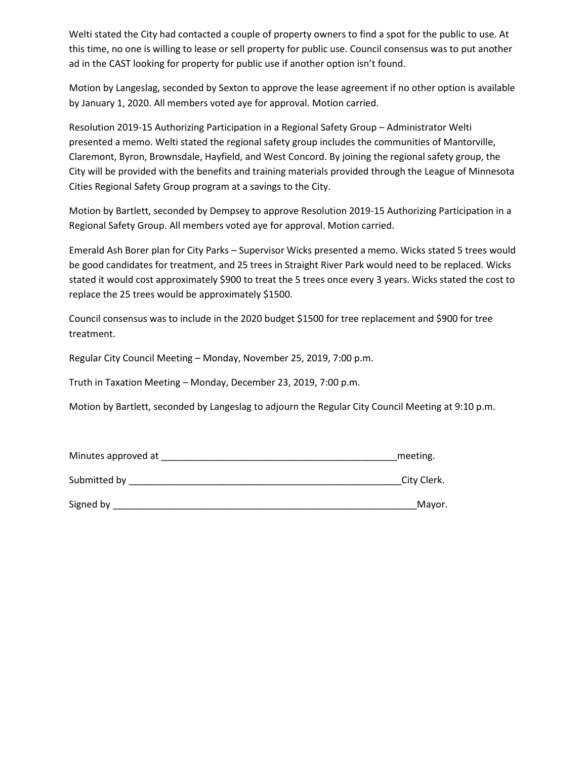Welti stated the City had contacted a couple of property owners to find a spot for the public to use. At this time, no one is willing to lease or sell property for public use. Council consensus was to put another ad in the CAST looking for property for public use if another option isn't found.

Motion by Langeslag, seconded by Sexton to approve the lease agreement if no other option is available by January 1, 2020. All members voted aye for approval. Motion carried.

Resolution 2019-15 Authorizing Participation in a Regional Safety Group – Administrator Welti presented a memo. Welti stated the regional safety group includes the communities of Mantorville, Claremont, Byron, Brownsdale, Hayfield, and West Concord. By joining the regional safety group, the City will be provided with the benefits and training materials provided through the League of Minnesota Cities Regional Safety Group program at a savings to the City.

Motion by Bartlett, seconded by Dempsey to approve Resolution 2019-15 Authorizing Participation in a Regional Safety Group. All members voted aye for approval. Motion carried.

Emerald Ash Borer plan for City Parks – Supervisor Wicks presented a memo. Wicks stated 5 trees would be good candidates for treatment, and 25 trees in Straight River Park would need to be replaced. Wicks stated it would cost approximately \$900 to treat the 5 trees once every 3 years. Wicks stated the cost to replace the 25 trees would be approximately \$1500.

Council consensus was to include in the 2020 budget \$1500 for tree replacement and \$900 for tree treatment.

Regular City Council Meeting – Monday, November 25, 2019, 7:00 p.m.

Truth in Taxation Meeting – Monday, December 23, 2019, 7:00 p.m.

Motion by Bartlett, seconded by Langeslag to adjourn the Regular City Council Meeting at 9:10 p.m.

| Minutes approved at | meeting.    |
|---------------------|-------------|
| Submitted by        | City Clerk. |
| Signed by           | Mayor.      |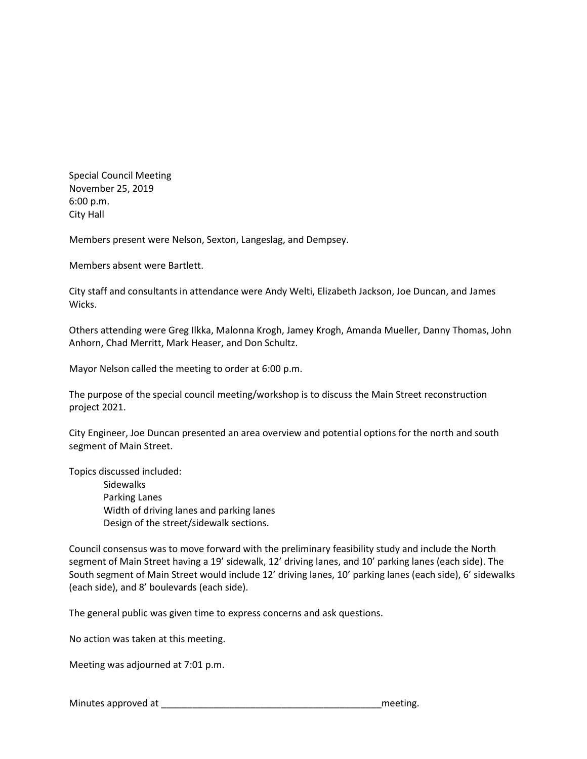Special Council Meeting November 25, 2019 6:00 p.m. City Hall

Members present were Nelson, Sexton, Langeslag, and Dempsey.

Members absent were Bartlett.

City staff and consultants in attendance were Andy Welti, Elizabeth Jackson, Joe Duncan, and James Wicks.

Others attending were Greg Ilkka, Malonna Krogh, Jamey Krogh, Amanda Mueller, Danny Thomas, John Anhorn, Chad Merritt, Mark Heaser, and Don Schultz.

Mayor Nelson called the meeting to order at 6:00 p.m.

The purpose of the special council meeting/workshop is to discuss the Main Street reconstruction project 2021.

City Engineer, Joe Duncan presented an area overview and potential options for the north and south segment of Main Street.

Topics discussed included:

Sidewalks Parking Lanes Width of driving lanes and parking lanes Design of the street/sidewalk sections.

Council consensus was to move forward with the preliminary feasibility study and include the North segment of Main Street having a 19' sidewalk, 12' driving lanes, and 10' parking lanes (each side). The South segment of Main Street would include 12' driving lanes, 10' parking lanes (each side), 6' sidewalks (each side), and 8' boulevards (each side).

The general public was given time to express concerns and ask questions.

No action was taken at this meeting.

Meeting was adjourned at 7:01 p.m.

Minutes approved at the setting of the setting of the setting of the setting.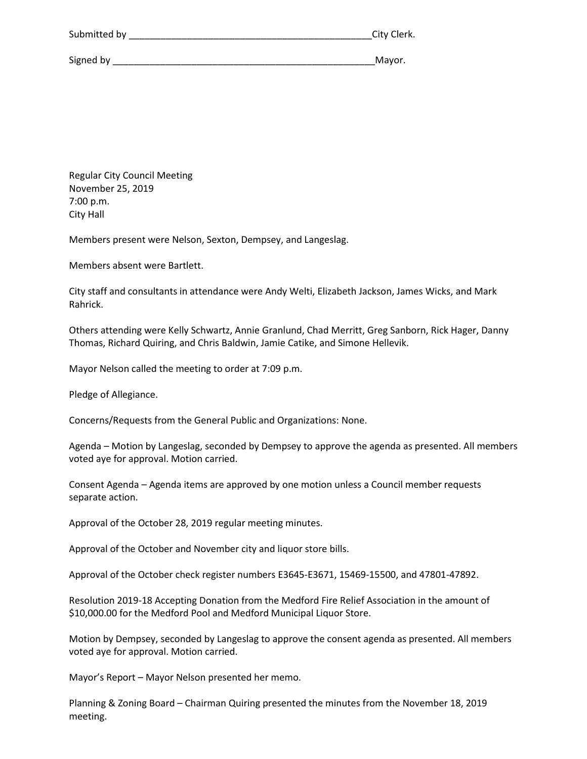| Submitted by | City Clerk. |
|--------------|-------------|
|              |             |
| Signed by    | Mayor.      |

Regular City Council Meeting November 25, 2019 7:00 p.m. City Hall

Members present were Nelson, Sexton, Dempsey, and Langeslag.

Members absent were Bartlett.

City staff and consultants in attendance were Andy Welti, Elizabeth Jackson, James Wicks, and Mark Rahrick.

Others attending were Kelly Schwartz, Annie Granlund, Chad Merritt, Greg Sanborn, Rick Hager, Danny Thomas, Richard Quiring, and Chris Baldwin, Jamie Catike, and Simone Hellevik.

Mayor Nelson called the meeting to order at 7:09 p.m.

Pledge of Allegiance.

Concerns/Requests from the General Public and Organizations: None.

Agenda – Motion by Langeslag, seconded by Dempsey to approve the agenda as presented. All members voted aye for approval. Motion carried.

Consent Agenda – Agenda items are approved by one motion unless a Council member requests separate action.

Approval of the October 28, 2019 regular meeting minutes.

Approval of the October and November city and liquor store bills.

Approval of the October check register numbers E3645-E3671, 15469-15500, and 47801-47892.

Resolution 2019-18 Accepting Donation from the Medford Fire Relief Association in the amount of \$10,000.00 for the Medford Pool and Medford Municipal Liquor Store.

Motion by Dempsey, seconded by Langeslag to approve the consent agenda as presented. All members voted aye for approval. Motion carried.

Mayor's Report – Mayor Nelson presented her memo.

Planning & Zoning Board – Chairman Quiring presented the minutes from the November 18, 2019 meeting.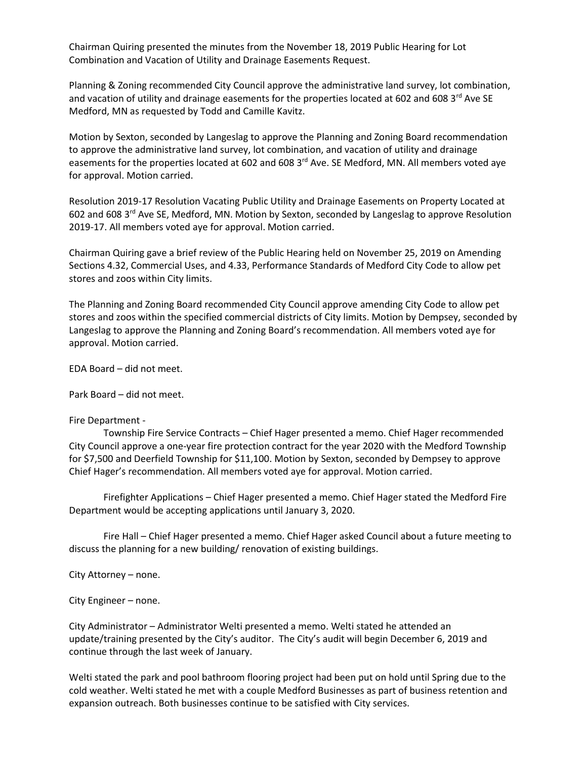Chairman Quiring presented the minutes from the November 18, 2019 Public Hearing for Lot Combination and Vacation of Utility and Drainage Easements Request.

Planning & Zoning recommended City Council approve the administrative land survey, lot combination, and vacation of utility and drainage easements for the properties located at 602 and 608 3rd Ave SE Medford, MN as requested by Todd and Camille Kavitz.

Motion by Sexton, seconded by Langeslag to approve the Planning and Zoning Board recommendation to approve the administrative land survey, lot combination, and vacation of utility and drainage easements for the properties located at 602 and 608 3 $^{rd}$  Ave. SE Medford, MN. All members voted aye for approval. Motion carried.

Resolution 2019-17 Resolution Vacating Public Utility and Drainage Easements on Property Located at 602 and 608 3<sup>rd</sup> Ave SE, Medford, MN. Motion by Sexton, seconded by Langeslag to approve Resolution 2019-17. All members voted aye for approval. Motion carried.

Chairman Quiring gave a brief review of the Public Hearing held on November 25, 2019 on Amending Sections 4.32, Commercial Uses, and 4.33, Performance Standards of Medford City Code to allow pet stores and zoos within City limits.

The Planning and Zoning Board recommended City Council approve amending City Code to allow pet stores and zoos within the specified commercial districts of City limits. Motion by Dempsey, seconded by Langeslag to approve the Planning and Zoning Board's recommendation. All members voted aye for approval. Motion carried.

EDA Board – did not meet.

Park Board – did not meet.

#### Fire Department -

Township Fire Service Contracts – Chief Hager presented a memo. Chief Hager recommended City Council approve a one-year fire protection contract for the year 2020 with the Medford Township for \$7,500 and Deerfield Township for \$11,100. Motion by Sexton, seconded by Dempsey to approve Chief Hager's recommendation. All members voted aye for approval. Motion carried.

Firefighter Applications – Chief Hager presented a memo. Chief Hager stated the Medford Fire Department would be accepting applications until January 3, 2020.

Fire Hall – Chief Hager presented a memo. Chief Hager asked Council about a future meeting to discuss the planning for a new building/ renovation of existing buildings.

City Attorney – none.

City Engineer – none.

City Administrator – Administrator Welti presented a memo. Welti stated he attended an update/training presented by the City's auditor. The City's audit will begin December 6, 2019 and continue through the last week of January.

Welti stated the park and pool bathroom flooring project had been put on hold until Spring due to the cold weather. Welti stated he met with a couple Medford Businesses as part of business retention and expansion outreach. Both businesses continue to be satisfied with City services.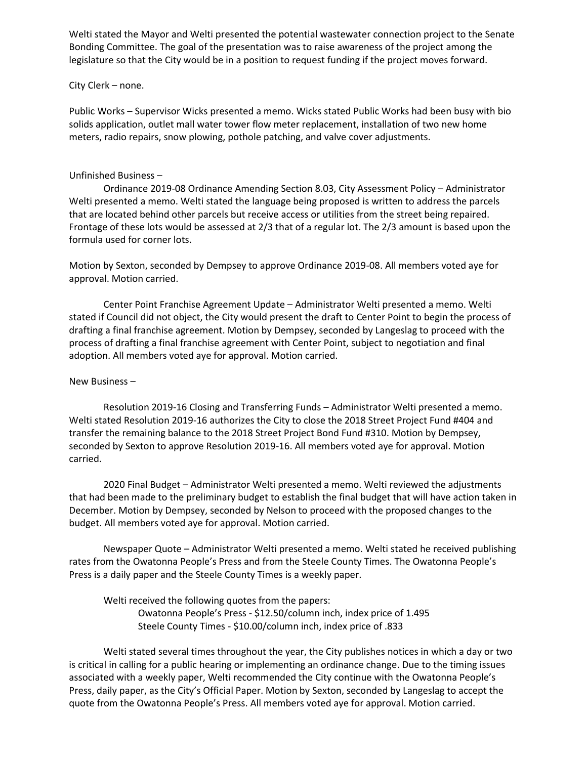Welti stated the Mayor and Welti presented the potential wastewater connection project to the Senate Bonding Committee. The goal of the presentation was to raise awareness of the project among the legislature so that the City would be in a position to request funding if the project moves forward.

#### City Clerk – none.

Public Works – Supervisor Wicks presented a memo. Wicks stated Public Works had been busy with bio solids application, outlet mall water tower flow meter replacement, installation of two new home meters, radio repairs, snow plowing, pothole patching, and valve cover adjustments.

### Unfinished Business –

Ordinance 2019-08 Ordinance Amending Section 8.03, City Assessment Policy – Administrator Welti presented a memo. Welti stated the language being proposed is written to address the parcels that are located behind other parcels but receive access or utilities from the street being repaired. Frontage of these lots would be assessed at 2/3 that of a regular lot. The 2/3 amount is based upon the formula used for corner lots.

Motion by Sexton, seconded by Dempsey to approve Ordinance 2019-08. All members voted aye for approval. Motion carried.

Center Point Franchise Agreement Update – Administrator Welti presented a memo. Welti stated if Council did not object, the City would present the draft to Center Point to begin the process of drafting a final franchise agreement. Motion by Dempsey, seconded by Langeslag to proceed with the process of drafting a final franchise agreement with Center Point, subject to negotiation and final adoption. All members voted aye for approval. Motion carried.

#### New Business –

Resolution 2019-16 Closing and Transferring Funds – Administrator Welti presented a memo. Welti stated Resolution 2019-16 authorizes the City to close the 2018 Street Project Fund #404 and transfer the remaining balance to the 2018 Street Project Bond Fund #310. Motion by Dempsey, seconded by Sexton to approve Resolution 2019-16. All members voted aye for approval. Motion carried.

2020 Final Budget – Administrator Welti presented a memo. Welti reviewed the adjustments that had been made to the preliminary budget to establish the final budget that will have action taken in December. Motion by Dempsey, seconded by Nelson to proceed with the proposed changes to the budget. All members voted aye for approval. Motion carried.

Newspaper Quote – Administrator Welti presented a memo. Welti stated he received publishing rates from the Owatonna People's Press and from the Steele County Times. The Owatonna People's Press is a daily paper and the Steele County Times is a weekly paper.

Welti received the following quotes from the papers: Owatonna People's Press - \$12.50/column inch, index price of 1.495 Steele County Times - \$10.00/column inch, index price of .833

Welti stated several times throughout the year, the City publishes notices in which a day or two is critical in calling for a public hearing or implementing an ordinance change. Due to the timing issues associated with a weekly paper, Welti recommended the City continue with the Owatonna People's Press, daily paper, as the City's Official Paper. Motion by Sexton, seconded by Langeslag to accept the quote from the Owatonna People's Press. All members voted aye for approval. Motion carried.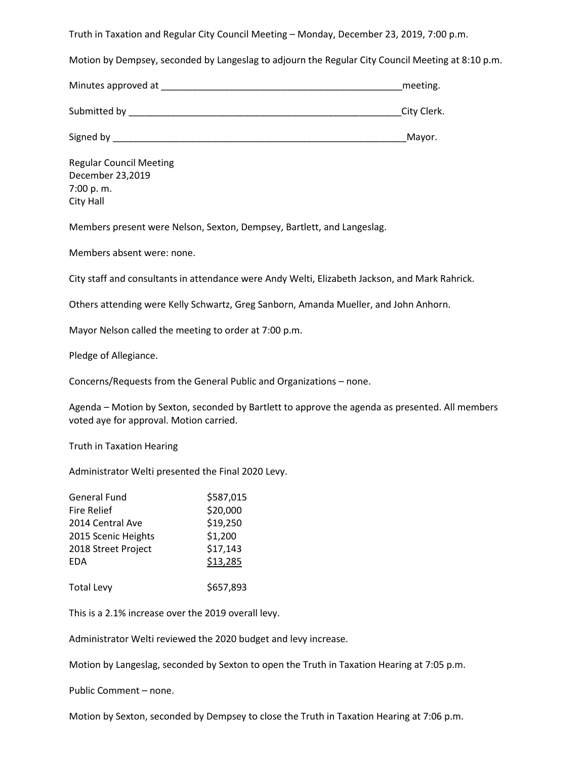Truth in Taxation and Regular City Council Meeting – Monday, December 23, 2019, 7:00 p.m.

Motion by Dempsey, seconded by Langeslag to adjourn the Regular City Council Meeting at 8:10 p.m.

| Minutes approved at | meeting. |
|---------------------|----------|
|---------------------|----------|

Submitted by \_\_\_\_\_\_\_\_\_\_\_\_\_\_\_\_\_\_\_\_\_\_\_\_\_\_\_\_\_\_\_\_\_\_\_\_\_\_\_\_\_\_\_\_\_\_\_\_\_\_\_\_City Clerk.

Signed by \_\_\_\_\_\_\_\_\_\_\_\_\_\_\_\_\_\_\_\_\_\_\_\_\_\_\_\_\_\_\_\_\_\_\_\_\_\_\_\_\_\_\_\_\_\_\_\_\_\_\_\_\_\_\_\_Mayor.

Regular Council Meeting December 23,2019 7:00 p. m. City Hall

Members present were Nelson, Sexton, Dempsey, Bartlett, and Langeslag.

Members absent were: none.

City staff and consultants in attendance were Andy Welti, Elizabeth Jackson, and Mark Rahrick.

Others attending were Kelly Schwartz, Greg Sanborn, Amanda Mueller, and John Anhorn.

Mayor Nelson called the meeting to order at 7:00 p.m.

Pledge of Allegiance.

Concerns/Requests from the General Public and Organizations – none.

Agenda – Motion by Sexton, seconded by Bartlett to approve the agenda as presented. All members voted aye for approval. Motion carried.

Truth in Taxation Hearing

Administrator Welti presented the Final 2020 Levy.

| <b>General Fund</b> | \$587,015 |
|---------------------|-----------|
| <b>Fire Relief</b>  | \$20,000  |
| 2014 Central Ave    | \$19,250  |
| 2015 Scenic Heights | \$1,200   |
| 2018 Street Project | \$17,143  |
| <b>EDA</b>          | \$13,285  |
| <b>Total Levy</b>   | \$657,893 |

This is a 2.1% increase over the 2019 overall levy.

Administrator Welti reviewed the 2020 budget and levy increase.

Motion by Langeslag, seconded by Sexton to open the Truth in Taxation Hearing at 7:05 p.m.

Public Comment – none.

Motion by Sexton, seconded by Dempsey to close the Truth in Taxation Hearing at 7:06 p.m.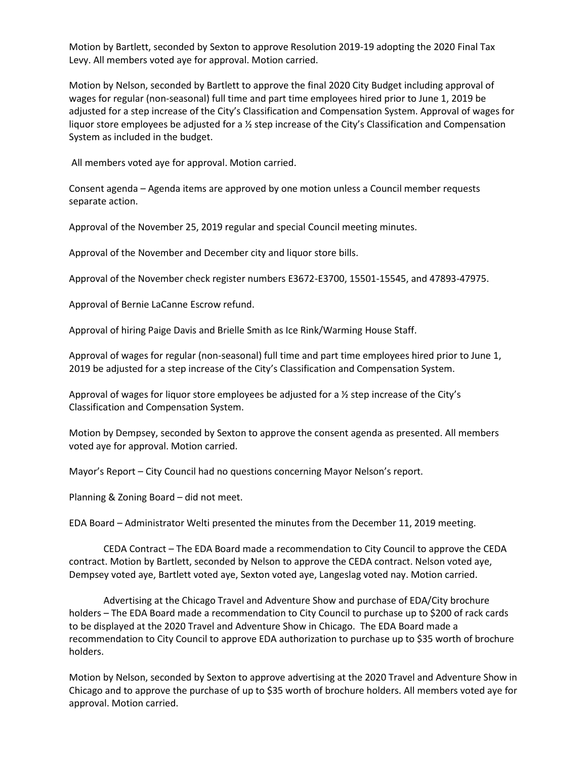Motion by Bartlett, seconded by Sexton to approve Resolution 2019-19 adopting the 2020 Final Tax Levy. All members voted aye for approval. Motion carried.

Motion by Nelson, seconded by Bartlett to approve the final 2020 City Budget including approval of wages for regular (non-seasonal) full time and part time employees hired prior to June 1, 2019 be adjusted for a step increase of the City's Classification and Compensation System. Approval of wages for liquor store employees be adjusted for a ½ step increase of the City's Classification and Compensation System as included in the budget.

All members voted aye for approval. Motion carried.

Consent agenda – Agenda items are approved by one motion unless a Council member requests separate action.

Approval of the November 25, 2019 regular and special Council meeting minutes.

Approval of the November and December city and liquor store bills.

Approval of the November check register numbers E3672-E3700, 15501-15545, and 47893-47975.

Approval of Bernie LaCanne Escrow refund.

Approval of hiring Paige Davis and Brielle Smith as Ice Rink/Warming House Staff.

Approval of wages for regular (non-seasonal) full time and part time employees hired prior to June 1, 2019 be adjusted for a step increase of the City's Classification and Compensation System.

Approval of wages for liquor store employees be adjusted for a ½ step increase of the City's Classification and Compensation System.

Motion by Dempsey, seconded by Sexton to approve the consent agenda as presented. All members voted aye for approval. Motion carried.

Mayor's Report – City Council had no questions concerning Mayor Nelson's report.

Planning & Zoning Board – did not meet.

EDA Board – Administrator Welti presented the minutes from the December 11, 2019 meeting.

CEDA Contract – The EDA Board made a recommendation to City Council to approve the CEDA contract. Motion by Bartlett, seconded by Nelson to approve the CEDA contract. Nelson voted aye, Dempsey voted aye, Bartlett voted aye, Sexton voted aye, Langeslag voted nay. Motion carried.

Advertising at the Chicago Travel and Adventure Show and purchase of EDA/City brochure holders – The EDA Board made a recommendation to City Council to purchase up to \$200 of rack cards to be displayed at the 2020 Travel and Adventure Show in Chicago. The EDA Board made a recommendation to City Council to approve EDA authorization to purchase up to \$35 worth of brochure holders.

Motion by Nelson, seconded by Sexton to approve advertising at the 2020 Travel and Adventure Show in Chicago and to approve the purchase of up to \$35 worth of brochure holders. All members voted aye for approval. Motion carried.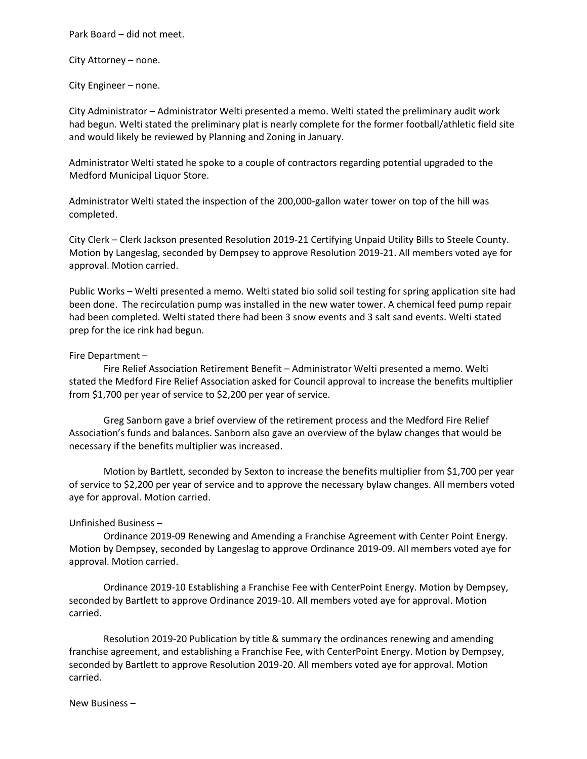Park Board – did not meet.

City Attorney – none.

City Engineer – none.

City Administrator – Administrator Welti presented a memo. Welti stated the preliminary audit work had begun. Welti stated the preliminary plat is nearly complete for the former football/athletic field site and would likely be reviewed by Planning and Zoning in January.

Administrator Welti stated he spoke to a couple of contractors regarding potential upgraded to the Medford Municipal Liquor Store.

Administrator Welti stated the inspection of the 200,000-gallon water tower on top of the hill was completed.

City Clerk – Clerk Jackson presented Resolution 2019-21 Certifying Unpaid Utility Bills to Steele County. Motion by Langeslag, seconded by Dempsey to approve Resolution 2019-21. All members voted aye for approval. Motion carried.

Public Works – Welti presented a memo. Welti stated bio solid soil testing for spring application site had been done. The recirculation pump was installed in the new water tower. A chemical feed pump repair had been completed. Welti stated there had been 3 snow events and 3 salt sand events. Welti stated prep for the ice rink had begun.

#### Fire Department –

Fire Relief Association Retirement Benefit – Administrator Welti presented a memo. Welti stated the Medford Fire Relief Association asked for Council approval to increase the benefits multiplier from \$1,700 per year of service to \$2,200 per year of service.

Greg Sanborn gave a brief overview of the retirement process and the Medford Fire Relief Association's funds and balances. Sanborn also gave an overview of the bylaw changes that would be necessary if the benefits multiplier was increased.

Motion by Bartlett, seconded by Sexton to increase the benefits multiplier from \$1,700 per year of service to \$2,200 per year of service and to approve the necessary bylaw changes. All members voted aye for approval. Motion carried.

### Unfinished Business –

Ordinance 2019-09 Renewing and Amending a Franchise Agreement with Center Point Energy. Motion by Dempsey, seconded by Langeslag to approve Ordinance 2019-09. All members voted aye for approval. Motion carried.

Ordinance 2019-10 Establishing a Franchise Fee with CenterPoint Energy. Motion by Dempsey, seconded by Bartlett to approve Ordinance 2019-10. All members voted aye for approval. Motion carried.

Resolution 2019-20 Publication by title & summary the ordinances renewing and amending franchise agreement, and establishing a Franchise Fee, with CenterPoint Energy. Motion by Dempsey, seconded by Bartlett to approve Resolution 2019-20. All members voted aye for approval. Motion carried.